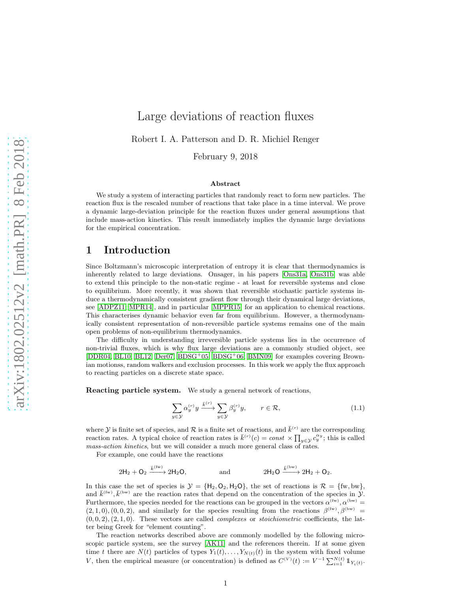# Large deviations of reaction fluxes

Robert I. A. Patterson and D. R. Michiel Renger

February 9, 2018

#### Abstract

We study a system of interacting particles that randomly react to form new particles. The reaction flux is the rescaled number of reactions that take place in a time interval. We prove a dynamic large-deviation principle for the reaction fluxes under general assumptions that include mass-action kinetics. This result immediately implies the dynamic large deviations for the empirical concentration.

## 1 Introduction

Since Boltzmann's microscopic interpretation of entropy it is clear that thermodynamics is inherently related to large deviations. Onsager, in his papers [\[Ons31a,](#page-20-0) [Ons31b\]](#page-20-1) was able to extend this principle to the non-static regime - at least for reversible systems and close to equilibrium. More recently, it was shown that reversible stochastic particle systems induce a thermodynamically consistent gradient flow through their dynamical large deviations, see [\[ADPZ11,](#page-19-0) [MPR14\]](#page-20-2), and in particular [\[MPPR15\]](#page-20-3) for an application to chemical reactions. This characterises dynamic behavior even far from equilibrium. However, a thermodynamically consistent representation of non-reversible particle systems remains one of the main open problems of non-equilibrium thermodynamics.

The difficulty in understanding irreversible particle systems lies in the occurrence of non-trivial fluxes, which is why flux large deviations are a commonly studied object, see [\[DDR04,](#page-19-1) [BL10,](#page-19-2) [BL12,](#page-19-3) [Der07,](#page-19-4) [BDSG](#page-19-5)<sup>+</sup>05, [BDSG](#page-19-6)<sup>+</sup>06, [BMN09\]](#page-19-7) for examples covering Brownian motionss, random walkers and exclusion processes. In this work we apply the flux approach to reacting particles on a discrete state space.

Reacting particle system. We study a general network of reactions,

$$
\sum_{y \in \mathcal{Y}} \alpha_y^{(r)} y \xrightarrow{\bar{k}^{(r)}} \sum_{y \in \mathcal{Y}} \beta_y^{(r)} y, \qquad r \in \mathcal{R}, \tag{1.1}
$$

where  $\mathcal Y$  is finite set of species, and  $\mathcal R$  is a finite set of reactions, and  $\bar{k}^{(r)}$  are the corresponding reaction rates. A typical choice of reaction rates is  $\bar{k}^{(r)}(c) = const \times \prod_{y \in \mathcal{Y}} c_y^{\alpha_y}$ ; this is called mass-action kinetics, but we will consider a much more general class of rates.

For example, one could have the reactions

$$
2\mathsf{H}_2 + \mathsf{O}_2 \xrightarrow{\bar{k}^{(\text{fw})}} 2\mathsf{H}_2\mathsf{O}, \qquad \qquad \text{and} \qquad \qquad 2\mathsf{H}_2\mathsf{O} \xrightarrow{\bar{k}^{(\text{bw)}}} 2\mathsf{H}_2 + \mathsf{O}_2.
$$

In this case the set of species is  $\mathcal{Y} = \{H_2, O_2, H_2O\}$ , the set of reactions is  $\mathcal{R} = \{\text{fw}, \text{bw}\},\$ and  $\bar{k}^{(\text{fw})}, \bar{k}^{(\text{bw})}$  are the reaction rates that depend on the concentration of the species in  $\mathcal{Y}$ . Furthermore, the species needed for the reactions can be grouped in the vectors  $\alpha^{(fw)}$ ,  $\alpha^{(bw)}$  =  $(2, 1, 0), (0, 0, 2),$  and similarly for the species resulting from the reactions  $\beta^{(fw)}, \beta^{(bw)}$  =  $(0, 0, 2), (2, 1, 0)$ . These vectors are called *complexes* or *stoichiometric* coefficients, the latter being Greek for "element counting".

The reaction networks described above are commonly modelled by the following microscopic particle system, see the survey [\[AK11\]](#page-19-8) and the references therein. If at some given time t there are  $N(t)$  particles of types  $Y_1(t), \ldots, Y_{N(t)}(t)$  in the system with fixed volume V, then the empirical measure (or concentration) is defined as  $C^{(V)}(t) := V^{-1} \sum_{i=1}^{N(t)} 1_{Y_i(t)}$ .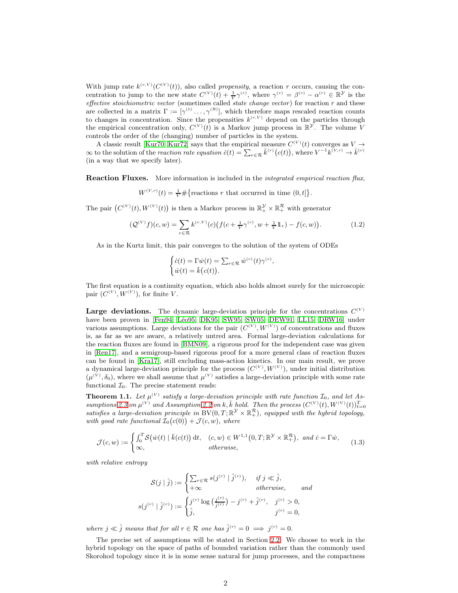With jump rate  $k^{(r,V)}(C^{(V)}(t))$ , also called *propensity*, a reaction r occurs, causing the concentration to jump to the new state  $C^{(V)}(t) + \frac{1}{V} \gamma^{(r)}$ , where  $\gamma^{(r)} = \beta^{(r)} - \alpha^{(r)} \in \mathbb{R}^{\mathcal{Y}}$  is the effective stoichiometric vector (sometimes called state change vector) for reaction  $r$  and these are collected in a matrix  $\Gamma = [\gamma^{(1)} \dots, \gamma^{(R)}]$ , which therefore maps rescaled reaction counts to changes in concentration. Since the propensities  $k^{(r,V)}$  depend on the particles through the empirical concentration only,  $C^{(V)}(t)$  is a Markov jump process in  $\mathbb{R}^{\mathcal{Y}}$ . The volume V controls the order of the (changing) number of particles in the system.

A classic result [\[Kur70,](#page-20-4) [Kur72\]](#page-20-5) says that the empirical measure  $C^{(V)}(t)$  converges as  $V \rightarrow$  $\infty$  to the solution of the reaction rate equation  $\dot{c}(t) = \sum_{r \in \mathcal{R}} \bar{k}^{(r)}(c(t))$ , where  $V^{-1}k^{(V,r)} \to \bar{k}^{(r)}$ (in a way that we specify later).

Reaction Fluxes. More information is included in the *integrated empirical reaction flux*,

 $W^{(V,r)}(t) = \frac{1}{V} \# {\text{reactions } r \text{ that occurred in time } (0, t] }$ .

The pair  $(C^{(V)}(t), W^{(V)}(t))$  is then a Markov process in  $\mathbb{R}_+^{\mathcal{Y}} \times \mathbb{R}_+^{\mathcal{R}}$  with generator

<span id="page-1-1"></span>
$$
(\mathcal{Q}^{(V)}f)(c,w) = \sum_{r \in \mathcal{R}} k^{(r,V)}(c) \big( f(c + \frac{1}{V} \gamma^{(r)}, w + \frac{1}{V} \mathbb{1}_r) - f(c, w) \big). \tag{1.2}
$$

As in the Kurtz limit, this pair converges to the solution of the system of ODEs

$$
\begin{cases} \dot{c}(t) = \Gamma \dot{w}(t) = \sum_{r \in \mathcal{R}} \dot{w}^{(r)}(t) \gamma^{(r)}, \\ \dot{w}(t) = \bar{k}(c(t)). \end{cases}
$$

The first equation is a continuity equation, which also holds almost surely for the microscopic pair  $(C^{(V)}, W^{(V)})$ , for finite V.

**Large deviations.** The dynamic large-deviation principle for the concentrations  $C^{(V)}$ have been proven in [\[Fen94,](#page-20-6) Léo95, [DK95,](#page-19-9) [SW95,](#page-20-8) [SW05,](#page-20-9) [DEW91,](#page-19-10) [LL15,](#page-20-10) [DRW16\]](#page-19-11) under various assumptions. Large deviations for the pair  $(C^{(V)}, W^{(V)})$  of concentrations and fluxes is, as far as we are aware, a relatively untred area. Formal large-deviation calculations for the reaction fluxes are found in [\[BMN09\]](#page-19-7), a rigorous proof for the independent case was given in [\[Ren17\]](#page-20-11), and a semigroup-based rigorous proof for a more general class of reaction fluxes can be found in [\[Kra17\]](#page-20-12), still excluding mass-action kinetics. In our main result, we prove a dynamical large-deviation principle for the process  $(C^{(V)}, W^{(V)})$ , under initial distribution  $(\mu^{(V)}, \delta_0)$ , where we shall assume that  $\mu^{(V)}$  satisfies a large-deviation principle with some rate functional  $\mathcal{I}_0$ . The precise statement reads:

<span id="page-1-0"></span>**Theorem 1.1.** Let  $\mu^{(V)}$  satisfy a large-deviation principle with rate function  $\mathcal{I}_0$ , and let As-sumptions [2.3](#page-4-0) on  $\mu^{(V)}$  and Assumption [2.2](#page-3-0) on k,  $\bar{k}$  hold. Then the process  $(C^{(V)}(t), W^{(V)}(t))_{t=0}^T$ satisfies a large-deviation principle in  $BV(0,T;\mathbb{R}^{\mathcal{Y}} \times \mathbb{R}^{\mathcal{R}}_+)$ , equipped with the hybrid topology, with good rate functional  $\mathcal{I}_0(c(0)) + \mathcal{J}(c, w)$ , where

$$
\mathcal{J}(c,w) := \begin{cases} \int_0^T \mathcal{S}(\dot{w}(t) \mid \bar{k}(c(t)) dt, & (c,w) \in W^{1,1}(0,T; \mathbb{R}^{\mathcal{Y}} \times \mathbb{R}^{\mathcal{R}}_+), \text{ and } \dot{c} = \Gamma \dot{w}, \\ \infty, & \text{otherwise}, \end{cases}
$$
(1.3)

with relative entropy

<span id="page-1-2"></span>
$$
\mathcal{S}(j \mid \hat{j}) := \begin{cases} \sum_{r \in \mathcal{R}} s(j^{(r)} \mid \hat{j}^{(r)}), & \text{if } j \ll \hat{j}, \\ +\infty & \text{otherwise}, \end{cases} \text{ and } s(j^{(r)} \mid \hat{j}^{(r)}) := \begin{cases} j^{(r)} \log\left(\frac{j^{(r)}}{\hat{j}^{(r)}}\right) - j^{(r)} + \hat{j}^{(r)}, & \text{if } j^{(r)} > 0, \\ \hat{j}, & \text{if } j^{(r)} = 0, \end{cases}
$$

where  $j \ll \hat{j}$  means that for all  $r \in \mathcal{R}$  one has  $\hat{j}^{(r)} = 0 \implies j^{(r)} = 0$ .

The precise set of assumptions will be stated in Section [2.2.](#page-3-1) We choose to work in the hybrid topology on the space of paths of bounded variation rather than the commonly used Skorohod topology since it is in some sense natural for jump processes, and the compactness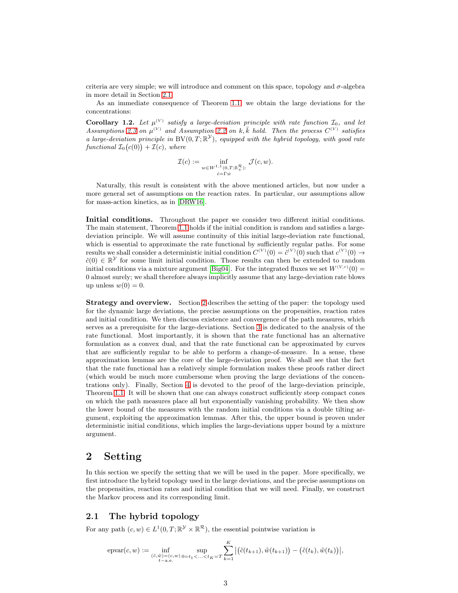criteria are very simple; we will introduce and comment on this space, topology and  $\sigma$ -algebra in more detail in Section [2.1.](#page-2-0)

As an immediate consequence of Theorem [1.1,](#page-1-0) we obtain the large deviations for the concentrations:

**Corollary 1.2.** Let  $\mu^{(V)}$  satisfy a large-deviation principle with rate function  $I_0$ , and let Assumptions [2.3](#page-4-0) on  $\mu^{(V)}$  and Assumption [2.2](#page-3-0) on k,  $\bar{k}$  hold. Then the process  $C^{(V)}$  satisfies a large-deviation principle in  $BV(0,T;\mathbb{R}^{\mathcal{Y}})$ , equipped with the hybrid topology, with good rate  $\text{functional } \mathcal{I}_0(c(0)) + \mathcal{I}(c), \text{ where}$ 

$$
\mathcal{I}(c) := \inf_{\substack{w \in W^{1,1}(0,T;\mathbb{R}_+^{\mathcal{R}}):\\c = \Gamma w}} \mathcal{J}(c,w).
$$

Naturally, this result is consistent with the above mentioned articles, but now under a more general set of assumptions on the reaction rates. In particular, our assumptions allow for mass-action kinetics, as in [\[DRW16\]](#page-19-11).

Initial conditions. Throughout the paper we consider two different initial conditions. The main statement, Theorem [1.1](#page-1-0) holds if the initial condition is random and satisfies a largedeviation principle. We will assume continuity of this initial large-deviation rate functional, which is essential to approximate the rate functional by sufficiently regular paths. For some results we shall consider a deterministic initial condition  $C^{(V)}(0) = \tilde{c}^{(V)}(0)$  such that  $c^{(V)}(0) \rightarrow$  $\tilde{c}(0) \in \mathbb{R}^{\mathcal{Y}}$  for some limit initial condition. Those results can then be extended to random initial conditions via a mixture argument [\[Big04\]](#page-19-12). For the integrated fluxes we set  $W^{(V,r)}(0) =$ 0 almost surely; we shall therefore always implicitly assume that any large-deviation rate blows up unless  $w(0) = 0$ .

Strategy and overview. Section [2](#page-2-1) describes the setting of the paper: the topology used for the dynamic large deviations, the precise assumptions on the propensities, reaction rates and initial condition. We then discuss existence and convergence of the path measures, which serves as a prerequisite for the large-deviations. Section [3](#page-5-0) is dedicated to the analysis of the rate functional. Most importantly, it is shown that the rate functional has an alternative formulation as a convex dual, and that the rate functional can be approximated by curves that are sufficiently regular to be able to perform a change-of-measure. In a sense, these approximation lemmas are the core of the large-deviation proof. We shall see that the fact that the rate functional has a relatively simple formulation makes these proofs rather direct (which would be much more cumbersome when proving the large deviations of the concentrations only). Finally, Section [4](#page-11-0) is devoted to the proof of the large-deviation principle, Theorem [1.1.](#page-1-0) It will be shown that one can always construct sufficiently steep compact cones on which the path measures place all but exponentially vanishing probability. We then show the lower bound of the measures with the random initial conditions via a double tilting argument, exploiting the approximation lemmas. After this, the upper bound is proven under deterministic initial conditions, which implies the large-deviations upper bound by a mixture argument.

## <span id="page-2-1"></span>2 Setting

In this section we specify the setting that we will be used in the paper. More specifically, we first introduce the hybrid topology used in the large deviations, and the precise assumptions on the propensities, reaction rates and initial condition that we will need. Finally, we construct the Markov process and its corresponding limit.

### <span id="page-2-0"></span>2.1 The hybrid topology

For any path  $(c, w) \in L^1(0, T; \mathbb{R}^{\mathcal{Y}} \times \mathbb{R}^{\mathcal{R}})$ , the essential pointwise variation is

$$
\mathrm{e} \mathrm{p} \mathrm{var}(c,w) := \inf_{\substack{(\tilde{c},\tilde{w}) = (c,w) \\ t = a.e.}} \sup_{0 = t_1 < \ldots < t_K = T} \sum_{k=1}^K \big| \big(\tilde{c}(t_{k+1}),\tilde{w}(t_{k+1})\big) - \big(\tilde{c}(t_k),\tilde{w}(t_k)\big) \big|,
$$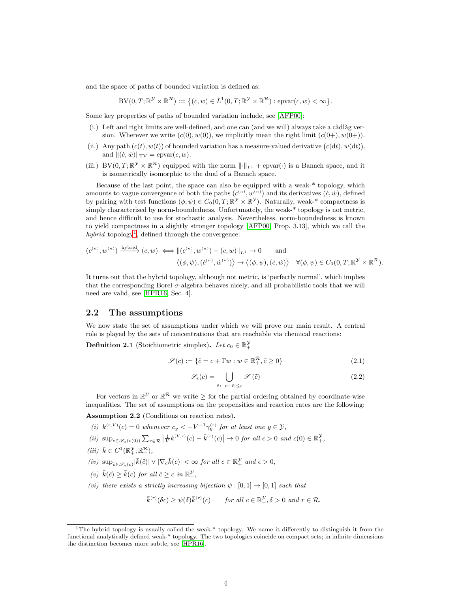and the space of paths of bounded variation is defined as:

BV
$$
(0, T; \mathbb{R}^{\mathcal{Y}} \times \mathbb{R}^{\mathcal{R}}) := \{ (c, w) \in L^1(0, T; \mathbb{R}^{\mathcal{Y}} \times \mathbb{R}^{\mathcal{R}}) : \text{epar}(c, w) < \infty \}.
$$

Some key properties of paths of bounded variation include, see [\[AFP00\]](#page-19-13):

- $(i.)$  Left and right limits are well-defined, and one can (and we will) always take a càdlàg version. Wherever we write  $(c(0), w(0))$ , we implicitly mean the right limit  $(c(0+), w(0+))$ .
- (ii.) Any path  $(c(t), w(t))$  of bounded variation has a measure-valued derivative  $(\dot{c}(dt), \dot{w}(dt))$ , and  $\|(c, \dot{w})\|_{\text{TV}} = \text{e} \text{pvar}(c, w).$
- (iii.) BV(0,  $T; \mathbb{R}^{\mathcal{Y}} \times \mathbb{R}^{\mathcal{R}}$ ) equipped with the norm  $\lVert \cdot \rVert_{L^1}$  + epvar( $\cdot$ ) is a Banach space, and it is isometrically isomorphic to the dual of a Banach space.

Because of the last point, the space can also be equipped with a weak-\* topology, which amounts to vague convergence of both the paths  $(c^{(n)}, w^{(n)})$  and its derivatives  $(\dot{c}, \dot{w})$ , defined by pairing with test functions  $(\phi, \psi) \in C_0(0,T; \mathbb{R}^{\mathcal{Y}} \times \mathbb{R}^{\mathcal{Y}})$ . Naturally, weak-\* compactness is simply characterised by norm-boundedness. Unfortunately, the weak-\* topology is not metric, and hence difficult to use for stochastic analysis. Nevertheless, norm-boundedness is known to yield compactness in a slightly stronger topology [\[AFP00,](#page-19-13) Prop. 3.13], which we call the hybrid topology<sup>[1](#page-3-2)</sup>, defined through the convergence:

$$
(c^{(n)}, w^{(n)}) \xrightarrow{\text{hybrid}} (c, w) \iff ||(c^{(n)}, w^{(n)}) - (c, w)||_{L^1} \to 0 \quad \text{and} \quad \langle (\phi, \psi), (\dot{c}^{(n)}, \dot{w}^{(n)}) \rangle \to \langle (\phi, \psi), (\dot{c}, \dot{w}) \rangle \quad \forall (\phi, \psi) \in C_0(0, T; \mathbb{R}^{\mathcal{Y}} \times \mathbb{R}^{\mathcal{R}}).
$$

It turns out that the hybrid topology, although not metric, is 'perfectly normal', which implies that the corresponding Borel  $\sigma$ -algebra behaves nicely, and all probabilistic tools that we will need are valid, see [\[HPR16,](#page-20-13) Sec. 4].

### <span id="page-3-1"></span>2.2 The assumptions

We now state the set of assumptions under which we will prove our main result. A central role is played by the sets of concentrations that are reachable via chemical reactions:

**Definition 2.1** (Stoichiometric simplex). Let  $c_0 \in \mathbb{R}^{\mathcal{Y}}_+$ 

$$
\mathcal{S}(c) := \{ \tilde{c} = c + \Gamma w : w \in \mathbb{R}_+^{\mathcal{R}}, \tilde{c} \ge 0 \}
$$
\n
$$
(2.1)
$$

$$
\mathcal{S}_{\epsilon}(c) = \bigcup_{\tilde{c} \colon |c - \tilde{c}| \le \epsilon} \mathcal{S}(\tilde{c}) \tag{2.2}
$$

For vectors in  $\mathbb{R}^{\mathcal{V}}$  or  $\mathbb{R}^{\mathcal{R}}$  we write  $\geq$  for the partial ordering obtained by coordinate-wise inequalities. The set of assumptions on the propensities and reaction rates are the following:

<span id="page-3-4"></span>Assumption 2.2 (Conditions on reaction rates).

- (i)  $k^{(r,V)}(c) = 0$  whenever  $c_y < -V^{-1}\gamma_y^{(r)}$  for at least one  $y \in \mathcal{Y}$ ,
- <span id="page-3-5"></span>(ii)  $\sup_{c \in \mathscr{S}_{\epsilon}(c(0))} \sum_{r \in \mathcal{R}} \left| \frac{1}{V} k^{(V,r)}(c) - \bar{k}^{(r)}(c) \right| \to 0$  for all  $\epsilon > 0$  and  $c(0) \in \mathbb{R}^{\mathcal{Y}}_+$ ,
- <span id="page-3-6"></span><span id="page-3-3"></span>(*iii*)  $\bar{k} \in C^1(\mathbb{R}^\mathcal{Y}_+;\mathbb{R}^\mathcal{R}_+)$ ,
- <span id="page-3-7"></span> $(iv) \ \sup_{\tilde{c} \in \mathscr{S}_{\epsilon}(c)} |\bar{k}(\tilde{c})| \vee |\nabla_c \bar{k}(c)| < \infty \ for \ all \ c \in \mathbb{R}_+^{\mathcal{Y}} \ and \ \epsilon > 0,$
- (v)  $\bar{k}(\hat{c}) \geq \bar{k}(c)$  for all  $\hat{c} \geq c$  in  $\mathbb{R}^{\mathcal{Y}}_{+}$ ,
- <span id="page-3-0"></span>(vi) there exists a strictly increasing bijection  $\psi : [0, 1] \rightarrow [0, 1]$  such that

$$
\bar{k}^{(r)}(\delta c) \ge \psi(\delta)\bar{k}^{(r)}(c) \qquad \text{for all } c \in \mathbb{R}^{\mathcal{Y}}_+, \delta > 0 \text{ and } r \in \mathcal{R}.
$$

<span id="page-3-2"></span><sup>&</sup>lt;sup>1</sup>The hybrid topology is usually called the weak-\* topology. We name it differently to distinguish it from the functional analytically defined weak-\* topology. The two topologies coincide on compact sets; in infinite dimensions the distinction becomes more subtle, see [\[HPR16\]](#page-20-13).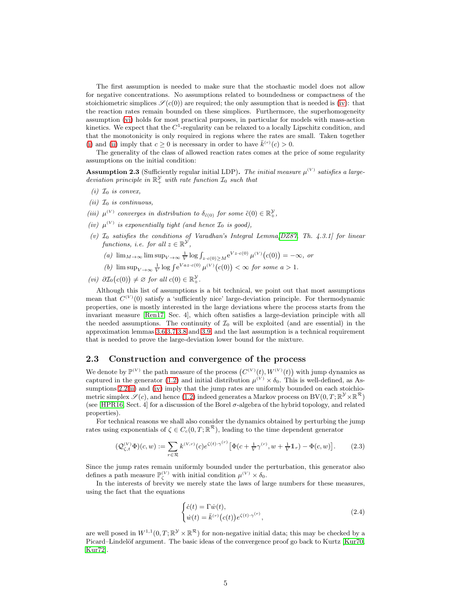The first assumption is needed to make sure that the stochastic model does not allow for negative concentrations. No assumptions related to boundedness or compactness of the stoichiometric simplices  $\mathscr{S}(c(0))$  are required; the only assumption that is needed is [\(iv\)](#page-3-3): that the reaction rates remain bounded on these simplices. Furthermore, the superhomogeneity assumption [\(vi\)](#page-3-0) holds for most practical purposes, in particular for models with mass-action kinetics. We expect that the  $C^1$ -regularity can be relaxed to a locally Lipschitz condition, and that the monotonicity is only required in regions where the rates are small. Taken together [\(i\)](#page-3-4) and [\(ii\)](#page-3-5) imply that  $c \ge 0$  is necessary in order to have  $\bar{k}^{(r)}(c) > 0$ .

The generality of the class of allowed reaction rates comes at the price of some regularity assumptions on the initial condition:

<span id="page-4-0"></span>**Assumption 2.3** (Sufficiently regular initial LDP). The initial measure  $\mu^{(V)}$  satisfies a largedeviation principle in  $\mathbb{R}_+^{\mathcal{Y}}$  with rate function  $\mathcal{I}_0$  such that

- (i)  $\mathcal{I}_0$  is convex,
- (*ii*)  $\mathcal{I}_0$  *is continuous*,
- <span id="page-4-3"></span>(iii)  $\mu^{(V)}$  converges in distribution to  $\delta_{\tilde{c}(0)}$  for some  $\tilde{c}(0) \in \mathbb{R}^{\mathcal{Y}}_+$ ,
- (iv)  $\mu^{(V)}$  is exponentially tight (and hence  $\mathcal{I}_0$  is good),
- (v)  $I_0$  satisfies the conditions of Varadhan's Integral Lemma [\[DZ87,](#page-19-14) Th. 4.3.1] for linear functions, i.e. for all  $z \in \mathbb{R}^{\mathcal{Y}},$ 
	- (a)  $\lim_{M \to \infty} \limsup_{V \to \infty} \frac{1}{V} \log \int_{z \cdot c(0) \ge M} e^{Vz \cdot c(0)} \mu^{(V)}(c(0)) = -\infty$ , or
	- (b)  $\limsup_{V \to \infty} \frac{1}{V} \log \int e^{Vaz \cdot c(0)} \mu^{(V)}(c(0)) < \infty$  for some  $a > 1$ .

(vi)  $\partial \mathcal{I}_0(c(0)) \neq \emptyset$  for all  $c(0) \in \mathbb{R}_+^{\mathcal{Y}}$ .

Although this list of assumptions is a bit technical, we point out that most assumptions mean that  $C^{(V)}(0)$  satisfy a 'sufficiently nice' large-deviation principle. For thermodynamic properties, one is mostly interested in the large deviations where the process starts from the invariant measure [\[Ren17,](#page-20-11) Sec. 4], which often satisfies a large-deviation principle with all the needed assumptions. The continuity of  $\mathcal{I}_0$  will be exploited (and are essential) in the approximation lemmas [3.6](#page-8-0)[,3.7,](#page-9-0)[3.8](#page-10-0) and [3.9,](#page-10-1) and the last assumption is a technical requirement that is needed to prove the large-deviation lower bound for the mixture.

#### 2.3 Construction and convergence of the process

We denote by  $\mathbb{P}^{(V)}$  the path measure of the process  $(C^{(V)}(t), W^{(V)}(t))$  with jump dynamics as captured in the generator [\(1.2\)](#page-1-1) and initial distribution  $\mu^{(V)} \times \delta_0$ . This is well-defined, as As-sumptions [2.2\(](#page-3-0)[ii\)](#page-3-5) and [\(iv\)](#page-3-3) imply that the jump rates are uniformly bounded on each stoichiometric simplex  $\mathscr{S}(c)$ , and hence [\(1.2\)](#page-1-1) indeed generates a Markov process on BV $(0, T; \mathbb{R}^{\mathcal{Y}} \times \mathbb{R}^{\mathcal{R}})$ (see [\[HPR16,](#page-20-13) Sect. 4] for a discussion of the Borel σ-algebra of the hybrid topology, and related properties).

For technical reasons we shall also consider the dynamics obtained by perturbing the jump rates using exponentials of  $\zeta \in C_c(0,T;\mathbb{R}^{\mathcal{R}})$ , leading to the time dependent generator

<span id="page-4-1"></span>
$$
(\mathcal{Q}_{\zeta,t}^{(V)}\Phi)(c,w) := \sum_{r \in \mathcal{R}} k^{(V,r)}(c) e^{\zeta(t)\cdot \gamma^{(r)}} \left[ \Phi(c + \frac{1}{V} \gamma^{(r)}, w + \frac{1}{V} \mathbb{1}_r) - \Phi(c,w) \right].
$$
 (2.3)

Since the jump rates remain uniformly bounded under the perturbation, this generator also defines a path measure  $\mathbb{P}_{\zeta}^{(V)}$  with initial condition  $\mu^{(V)} \times \delta_0$ .

In the interests of brevity we merely state the laws of large numbers for these measures, using the fact that the equations

<span id="page-4-2"></span>
$$
\begin{cases}\n\dot{c}(t) = \Gamma \dot{w}(t), \\
\dot{w}(t) = \bar{k}^{(r)}(c(t))e^{\zeta(t)\cdot \gamma^{(r)}},\n\end{cases}
$$
\n(2.4)

are well posed in  $W^{1,1}(0,T;\mathbb{R}^{\mathcal{Y}} \times \mathbb{R}^{\mathcal{R}})$  for non-negative initial data; this may be checked by a Picard–Lindelöf argument. The basic ideas of the convergence proof go back to Kurtz [\[Kur70,](#page-20-4) [Kur72\]](#page-20-5).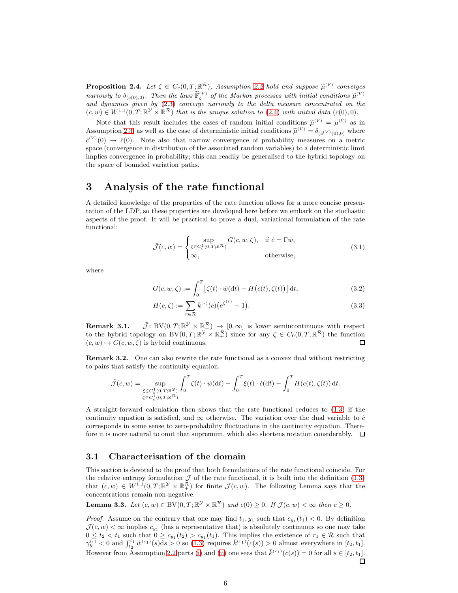<span id="page-5-2"></span>**Proposition 2.4.** Let  $\zeta \in C_c(0,T;\mathbb{R}^{\mathcal{R}})$ , Assumption [2.2](#page-3-0) hold and suppose  $\widetilde{\mu}^{(V)}$  converges narrowly to  $\delta_{(\tilde{c}(0),0)}$ . Then the laws  $\tilde{\mathbb{P}}^{(V)}$  of the Markov processes with initial conditions  $\tilde{\mu}^{(V)}$ and dynamics given by [\(2.3\)](#page-4-1) converge narrowly to the delta measure concentrated on the  $(c, w) \in W^{1,1}(0,T;\mathbb{R}^{\mathcal{Y}} \times \mathbb{R}^{\mathcal{R}})$  that is the unique solution to  $(2.4)$  with initial data  $(\tilde{c}(0), 0)$ .

Note that this result includes the cases of random initial conditions  $\tilde{\mu}^{(V)} = \mu^{(V)}$  as in Assumption [2.3,](#page-4-0) as well as the case of deterministic initial conditions  $\tilde{\mu}^{(V)} = \delta_{(\tilde{c}^{(V)}(0),0)}$  where  $\tilde{c}^{(V)}(0) \rightarrow \tilde{c}(0)$ . Note also that narrow convergence of probability measures on a metric space (convergence in distribution of the associated random variables) to a deterministic limit implies convergence in probability; this can readily be generalised to the hybrid topology on the space of bounded variation paths.

## <span id="page-5-0"></span>3 Analysis of the rate functional

A detailed knowledge of the properties of the rate function allows for a more concise presentation of the LDP, so these properties are developed here before we embark on the stochastic aspects of the proof. It will be practical to prove a dual, variational formulation of the rate functional:

$$
\tilde{\mathcal{J}}(c,w) = \begin{cases}\n\sup_{\zeta \in C_c^1(0,T;\mathbb{R}^{\mathcal{R}})} G(c,w,\zeta), & \text{if } \dot{c} = \Gamma \dot{w}, \\
\infty, & \text{otherwise,} \n\end{cases}
$$
\n(3.1)

where

$$
G(c, w, \zeta) := \int_0^T \left[ \zeta(t) \cdot \dot{w}(\mathrm{d}t) - H\big(c(t), \zeta(t)\big) \right] \mathrm{d}t,\tag{3.2}
$$

$$
H(c,\zeta) := \sum_{r \in \mathcal{R}} \bar{k}^{(r)}(c) \left( e^{\zeta^{(r)}} - 1 \right).
$$
 (3.3)

**Remark 3.1.**  $\tilde{\mathcal{J}}$ : BV $(0, T; \mathbb{R}^{\mathcal{Y}} \times \mathbb{R}^{\mathcal{R}}) \rightarrow [0, \infty]$  is lower semincontinuous with respect to the hybrid topology on  $BV(0,T;\mathbb{R}^{\mathcal{Y}} \times \mathbb{R}^{\mathcal{R}}_+)$  since for any  $\zeta \in C_0(0,T;\mathbb{R}^{\mathcal{R}})$  the function  $(c, w) \mapsto G(c, w, \zeta)$  is hybrid continuous. 口

Remark 3.2. One can also rewrite the rate functional as a convex dual without restricting to pairs that satisfy the continuity equation:

$$
\tilde{\mathcal{J}}(c,w) = \sup_{\substack{\xi \in C_c^1(0,T;\mathbb{R}^{\mathcal{Y}}) \\ \zeta \in C_c^1(0,T;\mathbb{R}^{\mathcal{R}})}} \int_0^T \zeta(t) \cdot \dot{w}(\mathrm{d}t) + \int_0^T \xi(t) \cdot \dot{c}(\mathrm{d}t) - \int_0^T H(c(t),\zeta(t)) \, \mathrm{d}t.
$$

A straight-forward calculation then shows that the rate functional reduces to [\(1.3\)](#page-1-2) if the continuity equation is satisfied, and  $\infty$  otherwise. The variation over the dual variable to  $\dot{c}$ corresponds in some sense to zero-probability fluctuations in the continuity equation. Therefore it is more natural to omit that supremum, which also shortens notation considerably.  $\Box$ 

#### 3.1 Characterisation of the domain

This section is devoted to the proof that both formulations of the rate functional coincide. For the relative entropy formulation  $\mathcal J$  of the rate functional, it is built into the definition [\(1.3\)](#page-1-2) that  $(c, w) \in W^{1,1}(0,T; \mathbb{R}^{\mathcal{Y}} \times \mathbb{R}^{\mathcal{R}}_+)$  for finite  $\mathcal{J}(c, w)$ . The following Lemma says that the concentrations remain non-negative.

<span id="page-5-1"></span>**Lemma 3.3.** Let  $(c, w) \in BV(0, T; \mathbb{R}^{\mathcal{Y}} \times \mathbb{R}^{\mathcal{R}})$  and  $c(0) \geq 0$ . If  $\mathcal{J}(c, w) < \infty$  then  $c \geq 0$ .

*Proof.* Assume on the contrary that one may find  $t_1, y_1$  such that  $c_{y_1}(t_1) < 0$ . By definition  $\mathcal{J}(c, w) < \infty$  implies  $c_{y_1}$  (has a representative that) is absolutely continuous so one may take  $0 \le t_2 < t_1$  such that  $0 \ge c_{y_1}(t_2) > c_{y_1}(t_1)$ . This implies the existence of  $r_1 \in \mathcal{R}$  such that  $\gamma_y^{(r)} < 0$  and  $\int_{t_2}^{t_1} \dot{w}^{(r_1)}(s) ds > 0$  so [\(1.3\)](#page-1-2) requires  $\bar{k}^{(r_1)}(c(s)) > 0$  almost everywhere in [t<sub>2</sub>, t<sub>1</sub>]. However from Assumption [2.2](#page-3-0) parts [\(i\)](#page-3-4) and [\(ii\)](#page-3-5) one sees that  $\bar{k}^{(r_1)}(c(s)) = 0$  for all  $s \in [t_2, t_1]$ .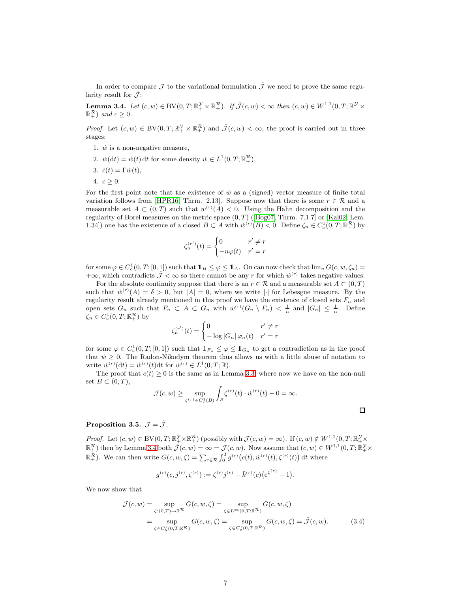In order to compare  $\mathcal J$  to the variational formulation  $\tilde{\mathcal J}$  we need to prove the same regularity result for  $\tilde{\mathcal{J}}$ :

<span id="page-6-0"></span>**Lemma 3.4.** Let  $(c, w) \in BV(0, T; \mathbb{R}^{\mathcal{Y}}_{+} \times \mathbb{R}^{\mathcal{R}}_{+})$ . If  $\tilde{\mathcal{J}}(c, w) < \infty$  then  $(c, w) \in W^{1,1}(0, T; \mathbb{R}^{\mathcal{Y}} \times \mathbb{R}^{\mathcal{Z}})$  $\mathbb{R}_+^{\mathcal{R}}$ ) and  $c \geq 0$ .

*Proof.* Let  $(c, w) \in BV(0, T; \mathbb{R}^{\mathcal{Y}}_+ \times \mathbb{R}^{\mathcal{R}}_+)$  and  $\tilde{\mathcal{J}}(c, w) < \infty$ ; the proof is carried out in three stages:

- 1.  $\dot{w}$  is a non-negative measure,
- 2.  $\dot{w}(\mathrm{d}t) = \dot{w}(t) \, \mathrm{d}t$  for some density  $\dot{w} \in L^1(0,T;\mathbb{R}^{\mathcal{R}}_+)$ ,
- 3.  $\dot{c}(t) = \Gamma \dot{w}(t)$ ,
- 4.  $c \geq 0$ .

For the first point note that the existence of  $\dot{w}$  as a (signed) vector measure of finite total variation follows from [\[HPR16,](#page-20-13) Thrm. 2.13]. Suppose now that there is some  $r \in \mathcal{R}$  and a measurable set  $A \subset (0,T)$  such that  $w^{(r)}(A) < 0$ . Using the Hahn decomposition and the regularityof Borel measures on the metric space  $(0, T)$  ([\[Bog07,](#page-19-15) Thrm. 7.1.7] or [\[Kal02,](#page-20-14) Lem. 1.34]) one has the existence of a closed  $B \subset A$  with  $\dot{w}^{(r)}(B) < 0$ . Define  $\zeta_n \in C_c^1(0,T;\mathbb{R}^{\mathcal{R}})$  by

$$
\zeta_n^{(r')}(t) = \begin{cases} 0 & r' \neq r \\ -n\varphi(t) & r' = r \end{cases}
$$

for some  $\varphi \in C_c^1(0,T;[0,\underline{1}])$  such that  $1_B \leq \varphi \leq 1_A$ . On can now check that  $\lim_n G(c,w,\zeta_n)$  $+\infty$ , which contradicts  $\tilde{\mathcal{J}} < \infty$  so there cannot be any r for which  $\dot{w}^{(r)}$  takes negative values.

For the absolute continuity suppose that there is an  $r \in \mathcal{R}$  and a measurable set  $A \subset (0, T)$ such that  $\dot{w}^{(r)}(A) = \delta > 0$ , but  $|A| = 0$ , where we write || for Lebesgue measure. By the regularity result already mentioned in this proof we have the existence of closed sets  $F_n$  and open sets  $G_n$  such that  $F_n \subset A \subset G_n$  with  $\dot{w}^{(r)}(G_n \setminus F_n) < \frac{1}{n}$  and  $|G_n| \leq \frac{1}{n}$ . Define  $\zeta_n \in C_c^1(0,T;\mathbb{R}^{\mathcal{R}}_+)$  by

$$
\zeta_n^{(r')}(t)=\begin{cases}0 & r'\neq r\\ -\log|G_n|\,\varphi_n(t) & r'=r\end{cases}
$$

for some  $\varphi \in C_c^1(0,T;[0,1])$  such that  $1\!\!1_{F_n} \leq \varphi \leq 1\!\!1_{G_n}$  to get a contradiction as in the proof that  $\dot{w} \geq 0$ . The Radon-Nikodym theorem thus allows us with a little abuse of notation to write  $\dot{w}^{(r)}(\mathrm{d}t) = \dot{w}^{(r)}(t) \mathrm{d}t$  for  $\dot{w}^{(r)} \in L^1(0,T;\mathbb{R})$ .

The proof that  $c(t) \geq 0$  is the same as in Lemma [3.3,](#page-5-1) where now we have on the non-null set  $B \subset (0,T)$ ,

$$
\mathcal{J}(c,w)\geq \sup_{\zeta^{(r)}\in C^1_c(B)}\int_B \zeta^{(r)}(t)\cdot \dot{w}^{(r)}(t)-0=\infty.
$$

<span id="page-6-1"></span> $\Box$ 

#### <span id="page-6-2"></span>Proposition 3.5.  $\mathcal{J} = \tilde{\mathcal{J}}$ .

Proof. Let  $(c, w) \in BV(0, T; \mathbb{R}^{\mathcal{Y}}_{+} \times \mathbb{R}^{\mathcal{R}}_{+})$  (possibly with  $\mathcal{J}(c, w) = \infty$ ). If  $(c, w) \notin W^{1,1}(0, T; \mathbb{R}^{\mathcal{Y}}_{+} \times \mathbb{R}^{\mathcal{R}}_{+})$  then by Lemma [3.4](#page-6-0) both  $\tilde{\mathcal{J}}(c, w) = \infty = \mathcal{J}(c, w)$ . Now assume that  $\mathbb{R}^{\mathcal{R}}_+$ ). We can then write  $G(c, w, \zeta) = \sum_{r \in \mathcal{R}} \int_0^T g^{(r)}(c(t), \dot{w}^{(r)}(t), \zeta^{(r)}(t)) dt$  where

$$
g^{(r)}(c, j^{(r)}, \zeta^{(r)}) := \zeta^{(r)} j^{(r)} - \bar{k}^{(r)}(c) \big( e^{\zeta^{(r)}} - 1 \big).
$$

We now show that

$$
\mathcal{J}(c, w) = \sup_{\zeta: (0,T) \to \mathbb{R}^{\mathcal{R}}} G(c, w, \zeta) = \sup_{\zeta \in L^{\infty}(0,T; \mathbb{R}^{\mathcal{R}})} G(c, w, \zeta)
$$

$$
= \sup_{\zeta \in C_{b}^{1}(0,T; \mathbb{R}^{\mathcal{R}})} G(c, w, \zeta) = \sup_{\zeta \in C_{c}^{1}(0,T; \mathbb{R}^{\mathcal{R}})} G(c, w, \zeta) = \tilde{\mathcal{J}}(c, w). \tag{3.4}
$$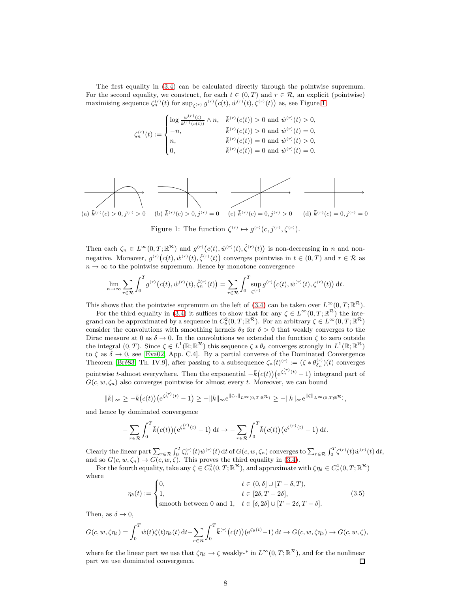The first equality in [\(3.4\)](#page-6-1) can be calculated directly through the pointwise supremum. For the second equality, we construct, for each  $t \in (0, T)$  and  $r \in \mathcal{R}$ , an explicit (pointwise) maximising sequence  $\zeta_n^{(r)}(t)$  for  $\sup_{\zeta^{(r)}} g^{(r)}(c(t), \dot{w}^{(r)}(t), \dot{\zeta}^{(r)}(t))$  as, see Figure [1,](#page-7-0)

$$
\zeta_n^{(r)}(t):=\begin{cases} \log\frac{w^{(r)}(t)}{\bar{k}^{(r)}(c(t))}\wedge n,&\bar{k}^{(r)}(c(t))>0\text{ and }\dot{w}^{(r)}(t)>0,\\ -n,&\bar{k}^{(r)}(c(t))>0\text{ and }\dot{w}^{(r)}(t)=0,\\ n,&\bar{k}^{(r)}(c(t))=0\text{ and }\dot{w}^{(r)}(t)>0,\\ 0,&\bar{k}^{(r)}(c(t))=0\text{ and }\dot{w}^{(r)}(t)=0.\end{cases}
$$

<span id="page-7-0"></span>

Figure 1: The function  $\zeta^{(r)} \mapsto g^{(r)}(c, j^{(r)}, \zeta^{(r)})$ .

Then each  $\zeta_n \in L^{\infty}(0,T;\mathbb{R}^{\mathcal{R}})$  and  $g^{(r)}(c(t),\dot{w}^{(r)}(t),\hat{\zeta}^{(r)}(t))$  is non-decreasing in n and nonnegative. Moreover,  $g^{(r)}(c(t), \dot{w}^{(r)}(t), \hat{\zeta}^{(r)}(t))$  converges pointwise in  $t \in (0, T)$  and  $r \in \mathcal{R}$  as  $n \to \infty$  to the pointwise supremum. Hence by monotone convergence

$$
\lim_{n \to \infty} \sum_{r \in \mathcal{R}} \int_0^T g^{(r)}(c(t), \dot{w}^{(r)}(t), \hat{\zeta}_n^{(r)}(t)) = \sum_{r \in \mathcal{R}} \int_0^T \sup_{\zeta^{(r)}} g^{(r)}(c(t), \dot{w}^{(r)}(t), \zeta^{(r)}(t)) dt.
$$

This shows that the pointwise supremum on the left of [\(3.4\)](#page-6-1) can be taken over  $L^{\infty}(0,T;\mathbb{R}^{\mathcal{R}})$ .

For the third equality in [\(3.4\)](#page-6-1) it suffices to show that for any  $\zeta \in L^{\infty}(0,T;\mathbb{R}^{\mathcal{R}})$  the integrand can be approximated by a sequence in  $C_b^2(0,T;\mathbb{R}^{\mathcal{R}})$ . For an arbitrary  $\zeta \in L^{\infty}(0,T;\mathbb{R}^{\mathcal{R}})$ consider the convolutions with smoothing kernels  $\theta_{\delta}$  for  $\delta > 0$  that weakly converges to the Dirac measure at 0 as  $\delta \to 0$ . In the convolutions we extended the function  $\zeta$  to zero outside the integral  $(0, T)$ . Since  $\zeta \in L^1(\mathbb{R}; \mathbb{R}^{\mathcal{R}})$  this sequence  $\zeta * \theta_{\delta}$  converges strongly in  $L^1(\mathbb{R}; \mathbb{R}^{\mathcal{R}})$ to  $\zeta$  as  $\delta \to 0$ , see [\[Eva02,](#page-20-15) App. C.4]. By a partial converse of the Dominated Convergence Theorem [Bré83, Th. IV.9], after passing to a subsequence  $\zeta_n(t)^{(r)} := (\zeta * \theta_{\delta_n}^{(r)})(t)$  converges pointwise t-almost everywhere. Then the exponential  $-\bar{k}(c(t)) (e^{\zeta_n^{(r)}(t)} - 1)$  integrand part of  $G(c, w, \zeta_n)$  also converges pointwise for almost every t. Moreover, we can bound

$$
\|\bar{k}\|_{\infty} \geq -\bar{k}(c(t))\big(e^{\zeta_n^{(r)}(t)}-1\big) \geq -\|\bar{k}\|_{\infty}e^{\|\zeta_n\|_{L^{\infty}(0,T;\mathbb{R}^{\mathcal{R}})}} \geq -\|\bar{k}\|_{\infty}e^{\|\zeta\|_{L^{\infty}(0,T;\mathbb{R}^{\mathcal{R}})}},
$$

and hence by dominated convergence

$$
-\sum_{r\in\mathcal{R}}\int_0^T \bar{k}(c(t))\big(e^{\zeta_n^{(r)}(t)}-1\big) dt \to -\sum_{r\in\mathcal{R}}\int_0^T \bar{k}(c(t))\big(e^{\zeta^{(r)}(t)}-1\big) dt.
$$

Clearly the linear part  $\sum_{r \in \mathcal{R}} \int_0^T \zeta_n^{(r)}(t) \dot{w}^{(r)}(t) dt$  of  $G(c, w, \zeta_n)$  converges to  $\sum_{r \in \mathcal{R}} \int_0^T \zeta^{(r)}(t) \dot{w}^{(r)}(t) dt$ , and so  $G(c, w, \zeta_n) \to G(c, w, \zeta)$ . This proves the third equality in [\(3.4\)](#page-6-1).

For the fourth equality, take any  $\zeta \in C_b^1(0,T;\mathbb{R}^{\mathcal{R}})$ , and approximate with  $\zeta \eta_\delta \in C_c^1(0,T;\mathbb{R}^{\mathcal{R}})$ where

<span id="page-7-1"></span>
$$
\eta_{\delta}(t) := \begin{cases} 0, & t \in (0, \delta] \cup [T - \delta, T), \\ 1, & t \in [2\delta, T - 2\delta], \\ \text{smooth between 0 and 1}, & t \in [\delta, 2\delta] \cup [T - 2\delta, T - \delta]. \end{cases}
$$
(3.5)

Then, as  $\delta \to 0$ ,

$$
G(c, w, \zeta \eta_{\delta}) = \int_0^T \dot{w}(t) \zeta(t) \eta_{\delta}(t) dt - \sum_{r \in \mathcal{R}} \int_0^T \bar{k}^{(r)}(c(t)) (e^{\zeta_{\delta}(t)} - 1) dt \to G(c, w, \zeta \eta_{\delta}) \to G(c, w, \zeta),
$$

where for the linear part we use that  $\zeta \eta_{\delta} \to \zeta$  weakly-\* in  $L^{\infty}(0,T;\mathbb{R}^{\mathcal{R}})$ , and for the nonlinear part we use dominated convergence.  $\Box$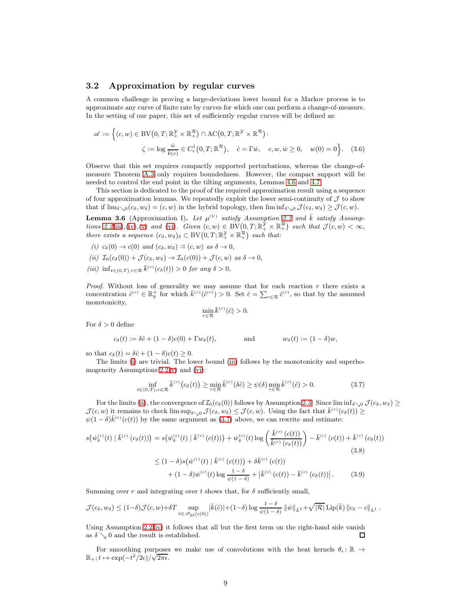### <span id="page-8-6"></span>3.2 Approximation by regular curves

A common challenge in proving a large-deviations lower bound for a Markov process is to approximate any curve of finite rate by curves for which one can perform a change-of-measure. In the setting of our paper, this set of sufficiently regular curves will be defined as:

$$
\mathscr{A} := \left\{ (c, w) \in BV(0, T; \mathbb{R}_+^{\mathcal{Y}} \times \mathbb{R}_+^{\mathcal{R}}) \cap AC(0, T; \mathbb{R}^{\mathcal{Y}} \times \mathbb{R}^{\mathcal{R}}) : \\ \zeta := \log \frac{\dot{w}}{\bar{k}(c)} \in C_c^1(0, T; \mathbb{R}^{\mathcal{R}}), \quad \dot{c} = \Gamma \dot{w}, \quad c, w, \dot{w} \ge 0, \quad w(0) = 0 \right\}. \tag{3.6}
$$

Observe that this set requires compactly supported perturbations, whereas the change-ofmeasure Theorem [A.3](#page-18-0) only requires boundedness. However, the compact support will be needed to control the end point in the tilting arguments, Lemmas [4.6](#page-14-0) and [4.7.](#page-15-0)

This section is dedicated to the proof of the required approximation result using a sequence of four approximation lemmas. We repeatedly exploit the lower semi-continuity of  $J$  to show that if  $\lim_{\delta \searrow 0} (c_{\delta}, w_{\delta}) = (c, w)$  in the hybrid topology, then  $\liminf_{\delta \searrow 0} \mathcal{J}(c_{\delta}, w_{\delta}) \geq \mathcal{J}(c, w)$ .

**Lemma 3.6** (Approximation I). Let  $\mu^{(V)}$  satisfy Assumption [2.3](#page-4-0) and  $\overline{k}$  satisfy Assump-tions [2.2](#page-3-0)[\(iii\)](#page-3-6),[\(iv\)](#page-3-3),[\(v\)](#page-3-7) and [\(vi\)](#page-3-0). Given  $(c, w) \in BV(0, T; \mathbb{R}_+^{\mathcal{Y}} \times \mathbb{R}_+^{\mathcal{R}})$  such that  $\mathcal{J}(c, w) < \infty$ , there exists a sequence  $(c_{\delta}, w_{\delta})_{\delta} \subset BV(0, T; \mathbb{R}^{\mathcal{Y}}_{+} \times \mathbb{R}^{\mathcal{R}}_{+})$  such that:

- <span id="page-8-1"></span>(i)  $c_{\delta}(0) \rightarrow c(0)$  and  $(c_{\delta}, w_{\delta}) \Rightarrow (c, w)$  as  $\delta \rightarrow 0$ ,
- <span id="page-8-2"></span><span id="page-8-0"></span>(ii)  $\mathcal{I}_0(c_\delta(0)) + \mathcal{J}(c_\delta, w_\delta) \to \mathcal{I}_0(c(0)) + \mathcal{J}(c, w)$  as  $\delta \to 0$ ,
- (iii)  $\inf_{t \in (0,T), r \in \mathcal{R}} \bar{k}^{(r)}(c_{\delta}(t)) > 0$  for any  $\delta > 0$ ,

*Proof.* Without loss of generality we may assume that for each reaction  $r$  there exists a concentration  $\hat{c}^{(r)} \in \mathbb{R}^+_y$  for which  $\bar{k}^{(r)}(\hat{c}^{(r)}) > 0$ . Set  $\hat{c} = \sum_{r \in \mathcal{R}} \hat{c}^{(r)}$ , so that by the assumed monotonicity,

<span id="page-8-7"></span><span id="page-8-5"></span><span id="page-8-4"></span>
$$
\min_{r \in \mathcal{R}} \bar{k}^{(r)}(\hat{c}) > 0.
$$

For  $\delta > 0$  define

$$
c_{\delta}(t) := \delta \hat{c} + (1 - \delta)c(0) + \Gamma w_{\delta}(t),
$$
 and  $w_{\delta}(t) := (1 - \delta)w,$ 

so that  $c_{\delta}(t) = \delta \hat{c} + (1 - \delta)c(t) \geq 0$ .

The limits [\(i\)](#page-8-1) are trivial. The lower bound [\(iii\)](#page-8-0) follows by the monotonicity and superhomogeneity Assumptions  $2.2(v)$  $2.2(v)$  and  $(vi)$ :

<span id="page-8-3"></span>
$$
\inf_{t \in (0,T), r \in \mathcal{R}} \bar{k}^{(r)}(c_{\delta}(t)) \ge \min_{r \in \mathcal{R}} \bar{k}^{(r)}(\delta \hat{c}) \ge \psi(\delta) \min_{r \in \mathcal{R}} \bar{k}^{(r)}(\hat{c}) > 0.
$$
\n(3.7)

For the limits [\(ii\)](#page-8-2), the convergence of  $\mathcal{I}_0(c_\delta(0))$  follows by Assumption [2.3.](#page-4-0) Since lim inf $\delta_{\geq 0} \mathcal{J}(c_\delta, w_\delta) \geq$  $\mathcal{J}(c, w)$  it remains to check  $\limsup_{\delta \searrow 0} \mathcal{J}(c_{\delta}, w_{\delta}) \leq \mathcal{J}(c, w)$ . Using the fact that  $\bar{k}^{(r)}(c_{\delta}(t)) \geq$  $\psi(1-\delta)\bar{k}^{(r)}(c(t))$  by the same argument as [\(3.7\)](#page-8-3) above, we can rewrite and estimate:

$$
s(\dot{w}_{\delta}^{(r)}(t) | \bar{k}^{(r)}(c_{\delta}(t))) = s(\dot{w}_{\delta}^{(r)}(t) | \bar{k}^{(r)}(c(t))) + \dot{w}_{\delta}^{(r)}(t) \log \left(\frac{\bar{k}^{(r)}(c(t))}{\bar{k}^{(r)}(c_{\delta}(t))}\right) - \bar{k}^{(r)}(c(t)) + \bar{k}^{(r)}(c_{\delta}(t))
$$
\n
$$
\leq (1 - \delta)s(\dot{w}^{(r)}(t) | \bar{k}^{(r)}(c(t))) + \delta \bar{k}^{(r)}(c(t))
$$
\n
$$
+ (1 - \delta)\dot{w}^{(r)}(t) \log \frac{1 - \delta}{\psi(1 - \delta)} + |\bar{k}^{(r)}(c(t)) - \bar{k}^{(r)}(c_{\delta}(t))|.
$$
\n(3.9)

Summing over r and integrating over t shows that, for  $\delta$  sufficiently small,

$$
\mathcal{J}(c_{\delta},w_{\delta}) \leq (1-\delta)\mathcal{J}(c,w) + \delta T \sup_{\tilde{c} \in \mathscr{S}_{2\delta}(c(0))} |\bar{k}(\tilde{c})| + (1-\delta) \log \frac{1-\delta}{\psi(1-\delta)} ||\dot{w}||_{L^{1}} + \sqrt{|\mathcal{R}|} \operatorname{Lip}(\bar{k}) ||c_{\delta} - c||_{L^{1}}.
$$

Using Assumption [2.2\(](#page-3-0)[iv\)](#page-3-3) it follows that all but the first term on the right-hand side vanish as  $\delta \searrow 0$  and the result is established.  $\Box$ 

For smoothing purposes we make use of convolutions with the heat kernels  $\theta_{\epsilon} \colon \mathbb{R} \to$  $\mathbb{R}_+$ ;  $t \mapsto \exp(-t^2/2\epsilon)/\sqrt{2\pi\epsilon}$ .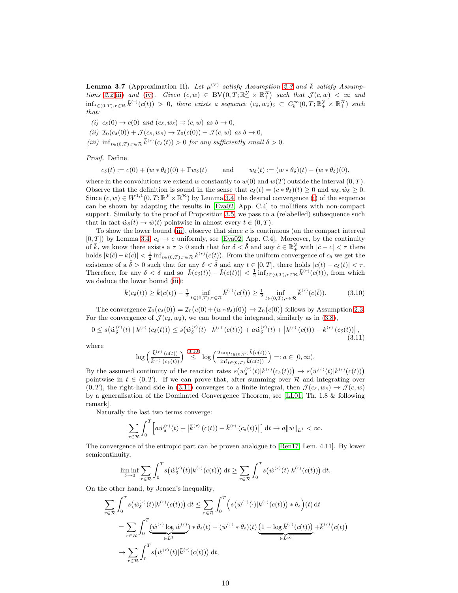**Lemma 3.7** (Approximation II). Let  $\mu^{(V)}$  satisfy Assumption [2.3](#page-4-0) and  $\overline{k}$  satisfy Assump-tions [2.2](#page-3-0)[\(iii\)](#page-3-6) and [\(iv\)](#page-3-3). Given  $(c, w) \in BV(0, T; \mathbb{R}^{\mathcal{Y}}_{+} \times \mathbb{R}^{\mathcal{R}}_{+})$  such that  $\mathcal{J}(c, w) < \infty$  and  $\inf_{t\in(0,T),r\in\mathcal{R}}\bar{k}^{(r)}(c(t)) > 0$ , there exists a sequence  $(c_{\delta},w_{\delta})_{\delta} \subset C_b^{\infty}(0,T;\mathbb{R}^{\mathcal{Y}}_{+}\times\mathbb{R}^{\mathcal{R}}_{+})$  such that:

- <span id="page-9-4"></span><span id="page-9-1"></span>(i)  $c_{\delta}(0) \rightarrow c(0)$  and  $(c_{\delta}, w_{\delta}) \Rightarrow (c, w)$  as  $\delta \rightarrow 0$ ,
- <span id="page-9-0"></span>(ii)  $\mathcal{I}_0(c_\delta(0)) + \mathcal{J}(c_\delta, w_\delta) \to \mathcal{I}_0(c(0)) + \mathcal{J}(c, w)$  as  $\delta \to 0$ ,
- (iii)  $\inf_{t \in (0,T), r \in \mathcal{R}} \bar{k}^{(r)}(c_{\delta}(t)) > 0$  for any sufficiently small  $\delta > 0$ .

Proof. Define

$$
c_{\delta}(t) := c(0) + (w * \theta_{\delta})(0) + \Gamma w_{\delta}(t) \quad \text{and} \quad w_{\delta}(t) := (w * \theta_{\delta})(t) - (w * \theta_{\delta})(0),
$$

where in the convolutions we extend w constantly to  $w(0)$  and  $w(T)$  outside the interval  $(0, T)$ . Observe that the definition is sound in the sense that  $c_{\delta}(t) = (c * \theta_{\delta})(t) > 0$  and  $w_{\delta}, \dot{w}_{\delta} > 0$ . Since  $(c, w) \in W^{1,1}(0,T; \mathbb{R}^{\mathcal{Y}} \times \mathbb{R}^{\mathcal{R}})$  by Lemma [3.4,](#page-6-0) the desired convergence [\(i\)](#page-9-1) of the sequence can be shown by adapting the results in [\[Eva02,](#page-20-15) App. C.4] to mollifiers with non-compact support. Similarly to the proof of Proposition [3.5,](#page-6-2) we pass to a (relabelled) subsequence such that in fact  $\dot{w}_\delta(t) \to \dot{w}(t)$  pointwise in almost every  $t \in (0, T)$ .

To show the lower bound [\(iii\)](#page-9-0), observe that since  $c$  is continuous (on the compact interval  $[0, T]$ ) by Lemma [3.4,](#page-6-0)  $c_{\delta} \to c$  uniformly, see [\[Eva02,](#page-20-15) App. C.4]. Moreover, by the continuity of  $\overline{k}$ , we know there exists a  $\tau > 0$  such that for  $\delta < \tilde{\delta}$  and any  $\tilde{c} \in \mathbb{R}^{\mathcal{Y}}_+$  with  $|\tilde{c} - c| < \tau$  there holds  $|\bar{k}(\tilde{c}) - \bar{k}(c)| < \frac{1}{2} \inf_{t \in (0,T), r \in \mathcal{R}} \bar{k}^{(r)}(c(t))$ . From the uniform convergence of  $c_{\delta}$  we get the existence of a  $\delta > 0$  such that for any  $\delta < \delta$  and any  $t \in [0, T]$ , there holds  $|c(t) - c_{\delta}(t)| < \tau$ . Therefore, for any  $\delta < \tilde{\delta}$  and so  $|\bar{k}(c_{\delta}(t)) - \bar{k}(c(t))| < \frac{1}{2} \inf_{t \in (0,T), r \in \mathcal{R}} \bar{k}^{(r)}(c(t))$ , from which we deduce the lower bound [\(iii\)](#page-9-0):

<span id="page-9-2"></span>
$$
\bar{k}(c_{\delta}(t)) \ge \bar{k}(c(t)) - \frac{1}{2} \inf_{t \in (0,T), r \in \mathcal{R}} \bar{k}^{(r)}(c(\tilde{t})) \ge \frac{1}{2} \inf_{\tilde{t} \in (0,T), r \in \mathcal{R}} \bar{k}^{(r)}(c(\tilde{t})).
$$
\n(3.10)

The convergence  $\mathcal{I}_0(c_\delta(0)) = \mathcal{I}_0(c(0) + (w * \theta_\delta)(0)) \to \mathcal{I}_0(c(0))$  follows by Assumption [2.3.](#page-4-0) For the convergence of  $\mathcal{J}(c_{\delta}, w_{\delta})$ , we can bound the integrand, similarly as in [\(3.8\)](#page-8-4),

<span id="page-9-3"></span>
$$
0 \le s(u_{\delta}^{(r)}(t) | \bar{k}^{(r)}(c_{\delta}(t)) \le s(u_{\delta}^{(r)}(t) | \bar{k}^{(r)}(c(t)) \big) + a\dot{w}_{\delta}^{(r)}(t) + |\bar{k}^{(r)}(c(t)) - \bar{k}^{(r)}(c_{\delta}(t)) \big|,
$$
\n(3.11)

where

$$
\log\left(\frac{\bar{k}^{(r)}\left(c(t)\right)}{\bar{k}^{(r)}\left(c_{\delta}(t)\right)}\right) \stackrel{(3.10)}{\leq} \log\left(\frac{2\sup_{t\in(0,T)}\bar{k}(c(t))}{\inf_{t\in(0,T)}\bar{k}(c(t))}\right) =: a\in[0,\infty).
$$

By the assumed continuity of the reaction rates  $s(\dot{w}_\delta^{(r)}(t)|k^{(r)}(c_\delta(t))) \to s(\dot{w}^{(r)}(t)|k^{(r)}(c(t)))$ pointwise in  $t \in (0, T)$ . If we can prove that, after summing over R and integrating over  $(0, T)$ , the right-hand side in [\(3.11\)](#page-9-3) converges to a finite integral, then  $\mathcal{J}(c_6, w_\delta) \to \mathcal{J}(c, w)$ by a generalisation of the Dominated Convergence Theorem, see [\[LL01,](#page-20-16) Th. 1.8 & following remark].

Naturally the last two terms converge:

$$
\sum_{r \in \mathcal{R}} \int_0^T \left[ a \dot{w}_{\delta}^{(r)}(t) + \left| \bar{k}^{(r)}\left(c(t)\right) - \bar{k}^{(r)}\left(c_{\delta}(t)\right) \right| \right] dt \to a \| \dot{w} \|_{L^1} < \infty.
$$

The convergence of the entropic part can be proven analogue to [\[Ren17,](#page-20-11) Lem. 4.11]. By lower semicontinuity,

$$
\liminf_{\delta \to 0} \sum_{r \in \mathcal{R}} \int_0^T s(\dot{w}_\delta^{(r)}(t)|\bar{k}^{(r)}(c(t))) dt \ge \sum_{r \in \mathcal{R}} \int_0^T s(\dot{w}^{(r)}(t)|\bar{k}^{(r)}(c(t))) dt.
$$

On the other hand, by Jensen's inequality,

$$
\sum_{r \in \mathcal{R}} \int_0^T s\big(\dot{w}_\delta^{(r)}(t)|\bar{k}^{(r)}(c(t))\big) dt \le \sum_{r \in \mathcal{R}} \int_0^T \Big(s\big(\dot{w}^{(r)}(\cdot)|\bar{k}^{(r)}(c(t))\big) * \theta_\epsilon\Big)(t) dt
$$
  
\n
$$
= \sum_{r \in \mathcal{R}} \int_0^T \underbrace{\big(\dot{w}^{(r)}\log \dot{w}^{(r)}\big) * \theta_\epsilon(t) - (\dot{w}^{(r)} * \theta_\epsilon)(t)} \underbrace{\big(1 + \log \bar{k}^{(r)}(c(t))\big) + \bar{k}^{(r)}(c(t))}_{\in L^\infty} + \bar{k}^{(r)}(c(t))}
$$
  
\n
$$
\rightarrow \sum_{r \in \mathcal{R}} \int_0^T s\big(\dot{w}^{(r)}(t)|\bar{k}^{(r)}(c(t))\big) dt,
$$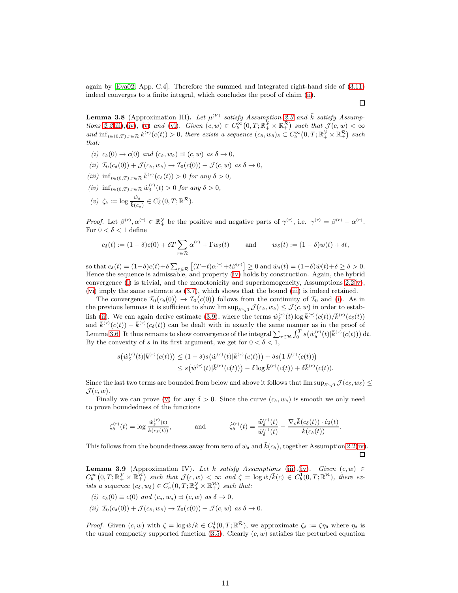again by [\[Eva02,](#page-20-15) App. C.4]. Therefore the summed and integrated right-hand side of [\(3.11\)](#page-9-3) indeed converges to a finite integral, which concludes the proof of claim [\(ii\)](#page-9-4).

**Lemma 3.8** (Approximation III). Let  $\mu^{(V)}$  satisfy Assumption [2.3](#page-4-0) and  $\bar{k}$  satisfy Assump-tions [2.2](#page-3-0)[\(iii\)](#page-3-6),[\(iv\)](#page-3-3), [\(v\)](#page-3-7) and [\(vi\)](#page-3-0). Given  $(c, w) \in C_b^{\infty}(0,T; \mathbb{R}^{\mathcal{Y}}_+ \times \mathbb{R}^{\mathcal{R}}_+)$  such that  $\mathcal{J}(c, w) < \infty$ and  $\inf_{t\in(0,T),r\in\mathcal{R}}\bar{k}^{(r)}(c(t))>0$ , there exists a sequence  $(c_{\delta},w_{\delta})_{\delta}\subset C_b^{\infty}(0,T;\mathbb{R}^{\mathcal{Y}}_+\times\mathbb{R}^{\mathcal{R}}_+)$  such that:

- <span id="page-10-3"></span>(i)  $c_{\delta}(0) \rightarrow c(0)$  and  $(c_{\delta}, w_{\delta}) \Rightarrow (c, w)$  as  $\delta \rightarrow 0$ ,
- <span id="page-10-4"></span>(ii)  $\mathcal{I}_0(c_\delta(0)) + \mathcal{J}(c_\delta, w_\delta) \to \mathcal{I}_0(c(0)) + \mathcal{J}(c, w)$  as  $\delta \to 0$ ,
- <span id="page-10-2"></span>(iii)  $\inf_{t \in (0,T), r \in \mathcal{R}} \bar{k}^{(r)}(c_{\delta}(t)) > 0$  for any  $\delta > 0$ ,
- <span id="page-10-0"></span> $(iv)$  inf<sub>t∈(0,T),r∈R</sub>  $\dot{w}_{\delta}^{(r)}(t) > 0$  for any  $\delta > 0$ ,
- (v)  $\zeta_{\delta} := \log \frac{\dot{w}_{\delta}}{\bar{k}(c_{\delta})} \in C_b^1(0,T;\mathbb{R}^{\mathcal{R}}).$

Proof. Let  $\beta^{(r)}$ ,  $\alpha^{(r)} \in \mathbb{R}_+^{\mathcal{Y}}$  be the positive and negative parts of  $\gamma^{(r)}$ , i.e.  $\gamma^{(r)} = \beta^{(r)} - \alpha^{(r)}$ . For  $0 < \delta < 1$  define

$$
c_{\delta}(t) := (1 - \delta)c(0) + \delta T \sum_{r \in \mathcal{R}} \alpha^{(r)} + \Gamma w_{\delta}(t) \quad \text{and} \quad w_{\delta}(t) := (1 - \delta)w(t) + \delta t,
$$

so that  $c_{\delta}(t) = (1-\delta)c(t) + \delta \sum_{r \in \mathcal{R}} \left[ (T-t)\alpha^{(r)} + t\beta^{(r)} \right] \ge 0$  and  $\dot{w}_{\delta}(t) = (1-\delta)\dot{w}(t) + \delta \ge \delta > 0$ . Hence the sequence is admissable, and property [\(iv\)](#page-10-2) holds by construction. Again, the hybrid convergence [\(i\)](#page-10-3) is trivial, and the monotonicity and superhomogeneity, Assumptions  $2.2(v)$  $2.2(v)$ , [\(vi\)](#page-3-0) imply the same estimate as [\(3.7\)](#page-8-3), which shows that the bound [\(iii\)](#page-10-4) is indeed retained.

The convergence  $\mathcal{I}_0(c_0(0)) \to \mathcal{I}_0(c(0))$  follows from the continuity of  $\mathcal{I}_0$  and [\(i\)](#page-10-3). As in the previous lemmas it is sufficient to show  $\limsup_{\delta\searrow 0} \mathcal{J}(c_\delta, w_\delta) \leq \mathcal{J}(c, w)$  in order to estab-lish [\(ii\)](#page-8-2). We can again derive estimate [\(3.9\)](#page-8-5), where the terms  $\dot{w}_{\delta}^{(r)}(t) \log \bar{k}^{(r)}(c(t))/\bar{k}^{(r)}(c_{\delta}(t))$ and  $\bar{k}^{(r)}(c(t)) - \bar{k}^{(r)}(c_{\delta}(t))$  can be dealt with in exactly the same manner as in the proof of Lemma [3.6.](#page-8-0) It thus remains to show convergence of the integral  $\sum_{r \in \mathcal{R}} \int_0^T s(\dot{w}_\delta^{(r)}(t)|\bar{k}^{(r)}(c(t))) dt$ . By the convexity of s in its first argument, we get for  $0 < \delta < 1$ ,

$$
s(\dot{w}_{\delta}^{(r)}(t)|\bar{k}^{(r)}(c(t))) \leq (1-\delta)s(\dot{w}^{(r)}(t)|\bar{k}^{(r)}(c(t))) + \delta s(1|\bar{k}^{(r)}(c(t)))
$$
  

$$
\leq s(\dot{w}^{(r)}(t)|\bar{k}^{(r)}(c(t))) - \delta \log \bar{k}^{(r)}(c(t)) + \delta \bar{k}^{(r)}(c(t)).
$$

Since the last two terms are bounded from below and above it follows that  $\limsup_{\delta\searrow 0} \mathcal{J}(c_\delta, w_\delta) \leq$  $\mathcal{J}(c, w)$ .

Finally we can prove [\(v\)](#page-10-0) for any  $\delta > 0$ . Since the curve  $(c_{\delta}, w_{\delta})$  is smooth we only need to prove boundedness of the functions

$$
\zeta_{\delta}^{(r)}(t) = \log \frac{\dot{w}_{\delta}^{(r)}(t)}{\bar{k}(c_{\delta}(t))}, \qquad \text{and} \qquad \dot{\zeta}_{\delta}^{(r)}(t) = \frac{\ddot{w}_{\delta}^{(r)}(t)}{\dot{w}_{\delta}^{(r)}(t)} - \frac{\nabla_{c}\bar{k}(c_{\delta}(t))\cdot\dot{c}_{\delta}(t)}{\bar{k}(c_{\delta}(t))}.
$$

This follows from the boundedness away from zero of  $\dot{w}_\delta$  and  $k(c_\delta)$ , together Assumption [2.2](#page-3-0)[\(iv\)](#page-3-3). □

**Lemma 3.9** (Approximation IV). Let  $\overline{k}$  satisfy Assumptions [\(iii\)](#page-3-6),[\(iv\)](#page-3-3). Given  $(c, w) \in$  $C_b^{\infty}(0,T;\mathbb{R}^{\mathcal{V}}_+\times\mathbb{R}^{\mathcal{R}}_+)$  such that  $\mathcal{J}(c,w) < \infty$  and  $\zeta = \log w/\bar{k}(c) \in C_b^1(0,T;\mathbb{R}^{\mathcal{R}})$ , there exists a sequence  $(c_{\delta}, w_{\delta}) \in C_c^1(0,T; \mathbb{R}^{\mathcal{Y}}_+ \times \mathbb{R}^{\mathcal{R}}_+)$  such that:

- <span id="page-10-5"></span><span id="page-10-1"></span>(i)  $c_{\delta}(0) \equiv c(0)$  and  $(c_{\delta}, w_{\delta}) \Rightarrow (c, w)$  as  $\delta \rightarrow 0$ ,
- (ii)  $\mathcal{I}_0(c_\delta(0)) + \mathcal{J}(c_\delta, w_\delta) \to \mathcal{I}_0(c(0)) + \mathcal{J}(c, w)$  as  $\delta \to 0$ .

*Proof.* Given  $(c, w)$  with  $\zeta = \log w / \bar{k} \in C_b^1(0, T; \mathbb{R}^{\mathcal{R}})$ , we approximate  $\zeta_{\delta} := \zeta \eta_{\delta}$  where  $\eta_{\delta}$  is the usual compactly supported function  $(3.5)$ . Clearly  $(c, w)$  satisfies the perturbed equation

 $\Box$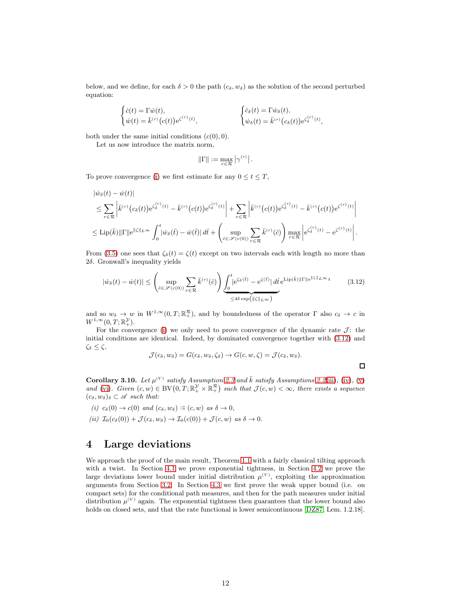below, and we define, for each  $\delta > 0$  the path  $(c_{\delta}, w_{\delta})$  as the solution of the second perturbed equation:

$$
\begin{cases} \dot{c}(t) = \Gamma \dot{w}(t), \\ \dot{w}(t) = \bar{k}^{(r)}(c(t)) e^{\zeta^{(r)}(t)}, \end{cases} \qquad \qquad \begin{cases} \dot{c}_{\delta}(t) = \Gamma \dot{w}_{\delta}(t), \\ \dot{w}_{\delta}(t) = \bar{k}^{(r)}(c_{\delta}(t)) e^{\zeta_{\delta}^{(r)}(t)}, \end{cases}
$$

both under the same initial conditions  $(c(0), 0)$ .

Let us now introduce the matrix norm,

$$
\|\Gamma\|:=\max_{r\in\mathcal{R}}\left|\gamma^{(r)}\right|.
$$

To prove convergence [\(i\)](#page-10-5) we first estimate for any  $0 \le t \le T$ ,

$$
\begin{split} &|\dot{w}_{\delta}(t) - \dot{w}(t)| \\ &\leq \sum_{r \in \mathcal{R}} \left| \bar{k}^{(r)}(c_{\delta}(t)) e^{\zeta_{\delta}^{(r)}(t)} - \bar{k}^{(r)}(c(t)) e^{\zeta_{\delta}^{(r)}(t)} \right| + \sum_{r \in \mathcal{R}} \left| \bar{k}^{(r)}(c(t)) e^{\zeta_{\delta}^{(r)}(t)} - \bar{k}^{(r)}(c(t)) e^{\zeta^{(r)}(t)} \right| \\ &\leq \mathrm{Lip}(\bar{k}) \|\Gamma\| e^{\|\zeta\|_{L^{\infty}}} \int_{0}^{t} |\dot{w}_{\delta}(\hat{t}) - \dot{w}(\hat{t})| \, d\hat{t} + \left( \sup_{\hat{c} \in \mathscr{S}(c(0))} \sum_{r \in \mathcal{R}} \bar{k}^{(r)}(\hat{c}) \right) \max_{r \in \mathcal{R}} \left| e^{\zeta_{\delta}^{(r)}(t)} - e^{\zeta^{(r)}(t)} \right| . \end{split}
$$

From [\(3.5\)](#page-7-1) one sees that  $\zeta_{\delta}(t) = \zeta(t)$  except on two intervals each with length no more than 2δ. Gronwall's inequality yields

<span id="page-11-1"></span>
$$
|\dot{w}_{\delta}(t) - \dot{w}(t)| \leq \left(\sup_{\hat{c} \in \mathscr{S}(c(0))} \sum_{r \in \mathcal{R}} \bar{k}^{(r)}(\hat{c})\right) \underbrace{\int_{0}^{t} |e^{\zeta_{\delta}(\hat{t})} - e^{\zeta(\hat{t})}| d\hat{t}}_{\leq 4\delta \exp(|\zeta|_{L^{\infty}})} e^{\text{Lip}(\bar{k}) ||\Gamma|| e^{||\zeta||_{L^{\infty}}}} \tag{3.12}
$$

and so  $w_{\delta} \to w$  in  $W^{1,\infty}(0,T;\mathbb{R}^{\mathcal{R}}_{+})$ , and by boundedness of the operator  $\Gamma$  also  $c_{\delta} \to c$  in  $W^{1,\infty}(0,T;\mathbb{R}^{\mathcal{Y}}_{+}).$ 

For the convergence [\(i\)](#page-10-5) we only need to prove convergence of the dynamic rate  $\mathcal{J}$ : the initial conditions are identical. Indeed, by dominated convergence together with [\(3.12\)](#page-11-1) and  $\zeta_{\delta} \leq \zeta$ ,

$$
\mathcal{J}(c_{\delta}, w_{\delta}) = G(c_{\delta}, w_{\delta}, \zeta_{\delta}) \rightarrow G(c, w, \zeta) = \mathcal{J}(c_{\delta}, w_{\delta}).
$$

 $\Box$ 

**Corollary 3.10.** Let  $\mu^{(V)}$  satisfy Assumption [2.3](#page-4-0) and  $\bar{k}$  satisfy Assumptions [2.2](#page-3-0)[\(iii\)](#page-3-6), [\(iv\)](#page-3-3), [\(v\)](#page-3-7) and [\(vi\)](#page-3-0). Given  $(c, w) \in BV(0, T; \mathbb{R}^{\mathcal{Y}}_{+} \times \mathbb{R}^{\mathcal{R}}_{+})$  such that  $\mathcal{J}(c, w) < \infty$ , there exists a sequence  $(c_{\delta}, w_{\delta})_{\delta} \subset \mathscr{A}$  such that:

- (i)  $c_{\delta}(0) \rightarrow c(0)$  and  $(c_{\delta}, w_{\delta}) \Rightarrow (c, w)$  as  $\delta \rightarrow 0$ ,
- <span id="page-11-2"></span>(ii)  $\mathcal{I}_0(c_\delta(0)) + \mathcal{J}(c_\delta, w_\delta) \to \mathcal{I}_0(c(0)) + \mathcal{J}(c, w)$  as  $\delta \to 0$ .

## <span id="page-11-0"></span>4 Large deviations

We approach the proof of the main result, Theorem [1.1](#page-1-0) with a fairly classical tilting approach with a twist. In Section [4.1](#page-12-0) we prove exponential tightness, in Section [4.2](#page-13-0) we prove the large deviations lower bound under initial distribution  $\mu^{(V)}$ , exploiting the approximation arguments from Section [3.2.](#page-8-6) In Section [4.3](#page-15-1) we first prove the weak upper bound (i.e. on compact sets) for the conditional path measures, and then for the path measures under initial distribution  $\mu^{(V)}$  again. The exponential tightness then guarantees that the lower bound also holds on closed sets, and that the rate functional is lower semicontinuous [\[DZ87,](#page-19-14) Lem. 1.2.18].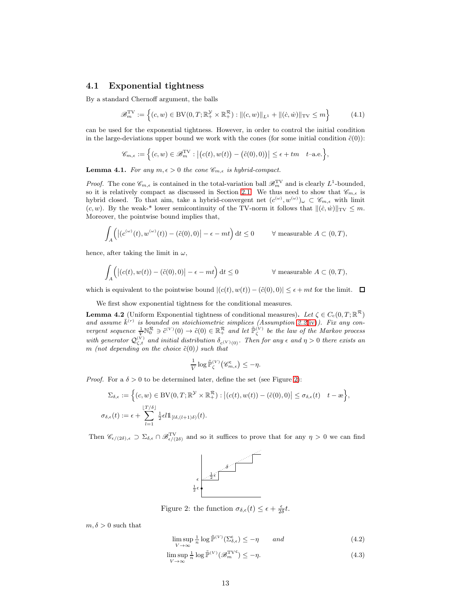#### <span id="page-12-0"></span>4.1 Exponential tightness

By a standard Chernoff argument, the balls

$$
\mathcal{B}_m^{\text{TV}} := \left\{ (c, w) \in \text{BV}(0, T; \mathbb{R}_+^{\mathcal{Y}} \times \mathbb{R}_+^{\mathcal{R}}) : \| (c, w) \|_{L^1} + \| (\dot{c}, \dot{w}) \|_{\text{TV}} \le m \right\}
$$
(4.1)

can be used for the exponential tightness. However, in order to control the initial condition in the large-deviations upper bound we work with the cones (for some initial condition  $\tilde{c}(0)$ ):

$$
\mathscr{C}_{m,\epsilon}:=\Big\{(c,w)\in \mathscr{B}^{\rm TV}_m: \big|\big(c(t),w(t)\big)-\big(\tilde{c}(0),0)\big)\big|\leq \epsilon+tm\quad t{\rm -a.e.}\Big\},
$$

**Lemma 4.1.** For any  $m, \epsilon > 0$  the cone  $\mathcal{C}_{m,\epsilon}$  is hybrid-compact.

*Proof.* The cone  $\mathcal{C}_{m,\epsilon}$  is contained in the total-variation ball  $\mathcal{B}_m^{\text{TV}}$  and is clearly  $L^1$ -bounded, so it is relatively compact as discussed in Section [2.1.](#page-2-0) We thus need to show that  $\mathscr{C}_{m,\epsilon}$  is hybrid closed. To that aim, take a hybrid-convergent net  $(c^{(\omega)}, w^{(\omega)})_{\omega} \subset \mathscr{C}_{m,\epsilon}$  with limit  $(c, w)$ . By the weak-\* lower semicontinuity of the TV-norm it follows that  $||(c, \dot{w})||_{TV} \leq m$ . Moreover, the pointwise bound implies that,

$$
\int_A \left( \left| (c^{(\omega)}(t), w^{(\omega)}(t)) - (\tilde{c}(0), 0) \right| - \epsilon - mt \right) dt \le 0 \qquad \forall \text{ measurable } A \subset (0, T),
$$

hence, after taking the limit in  $\omega$ ,

 $\cdot$ 

$$
\int_{A} \Big( \big| (c(t), w(t)) - (\tilde{c}(0), 0) \big| - \epsilon - mt \Big) dt \le 0 \qquad \forall \text{ measurable } A \subset (0, T),
$$

which is equivalent to the pointwise bound  $|(c(t), w(t)) - (\tilde{c}(0), 0)| \leq \epsilon + mt$  for the limit.  $\Box$ 

We first show exponential tightness for the conditional measures.

**Lemma 4.2** (Uniform Exponential tightness of conditional measures). Let  $\zeta \in C_c(0,T;\mathbb{R}^{\mathcal{R}})$ and assume  $\bar{k}^{(r)}$  is bounded on stoichiometric simplices (Assumption [2.2](#page-3-0)[\(iv\)](#page-3-3)). Fix any convergent sequence  $\frac{1}{V} \mathbb{N}_0^{\mathcal{R}} \ni \tilde{c}^{(V)}(0) \to \tilde{c}(0) \in \mathbb{R}_+^{\mathcal{R}}$  and let  $\tilde{\mathbb{P}}_{\zeta}^{(V)}$  be the law of the Markov process with generator  $\mathcal{Q}_{\zeta,t}^{(V)}$  and initial distribution  $\delta_{c^{(V)}(0)}$ . Then for any  $\epsilon$  and  $\eta > 0$  there exists an m (not depending on the choice  $\tilde{c}(0)$ ) such that

$$
\frac{1}{V} \log \tilde{\mathbb{P}}_{\zeta}^{(V)} \big(\mathscr{C}_{m,\epsilon}^{\mathsf{c}}\big) \leq -\eta.
$$

*Proof.* For a  $\delta > 0$  to be determined later, define the set (see Figure [2\)](#page-12-1):

$$
\Sigma_{\delta,\epsilon} := \Big\{ (c,w) \in \mathrm{BV}(0,T;\mathbb{R}^{\mathcal{Y}} \times \mathbb{R}^{\mathcal{R}}_+) : \big| (c(t),w(t)) - (\tilde{c}(0),0) \big| \leq \sigma_{\delta,\epsilon}(t) \quad t - \infty \Big\},\
$$
  

$$
\sigma_{\delta,\epsilon}(t) := \epsilon + \sum_{l=1}^{\lfloor T/\delta \rfloor} \frac{1}{2} \epsilon l \mathbb{1}_{[l\delta,(l+1)\delta)}(t).
$$

<span id="page-12-1"></span>Then  $\mathscr{C}_{\epsilon/(2\delta),\epsilon} \supset \Sigma_{\delta,\epsilon} \cap \mathscr{B}^{\text{TV}}_{\epsilon/(2\delta)}$  and so it suffices to prove that for any  $\eta > 0$  we can find



Figure 2: the function  $\sigma_{\delta,\epsilon}(t) \leq \epsilon + \frac{\epsilon}{2\delta}t$ .

 $m, \delta > 0$  such that

<span id="page-12-3"></span><span id="page-12-2"></span> $\limsup_{V \to \infty}$  $\frac{1}{n}\log \tilde{\mathbb{P}}^{(V)}(\Sigma_{\delta,\epsilon}^{\mathsf{c}}) \leq -\eta \quad \text{and}$ (4.2)

$$
\limsup_{V \to \infty} \frac{1}{n} \log \tilde{\mathbb{P}}^{(V)}(\mathcal{B}_m^{\text{TV}^c}) \le -\eta. \tag{4.3}
$$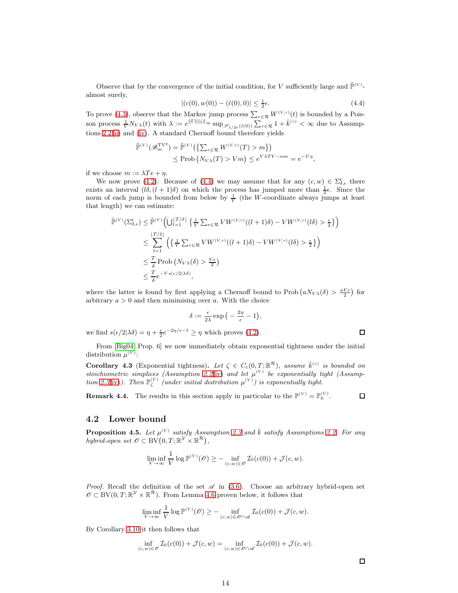Observe that by the convergence of the initial condition, for V sufficiently large and  $\tilde{\mathbb{P}}^{(V)}$ almost surely,

<span id="page-13-1"></span>
$$
|(c(0), w(0)) - (\tilde{c}(0), 0)| \le \frac{1}{2}\epsilon.
$$
 (4.4)

 $|(c(0), w(0)) - (\tilde{c}(0), 0)| \le \frac{1}{2}\epsilon.$  (4.4)<br>To prove [\(4.3\)](#page-12-2), observe that the Markov jump process  $\sum_{r \in \mathcal{R}} W^{(V,r)}(t)$  is bounded by a Poisson process  $\frac{1}{V}N_{V\lambda}(t)$  with  $\lambda := e^{\|\Gamma\| \|\zeta\|_{\infty}} \sup_{\mathscr{S}_{1/2\epsilon}(\tilde{c}(0))} \sum_{r \in \mathcal{R}} 1 + \bar{k}^{(r)} < \infty$  due to Assumptions [2.2](#page-3-0)[\(ii\)](#page-3-5) and [\(iv\)](#page-3-3). A standard Chernoff bound therefore yields

$$
\tilde{\mathbb{P}}^{(V)}(\mathscr{B}_{m}^{\text{TVc}}) = \tilde{\mathbb{P}}^{(V)}\left(\left\{\sum_{r \in \mathcal{R}} W^{(V,r)}(T) > m\right\}\right)
$$
\n
$$
\leq \text{Prob}\left(N_{V\lambda}(T) > Vm\right) \leq e^{V\lambda TV - nm} = e^{-V\eta},
$$

if we choose  $m := \lambda Te + \eta$ .

We now prove [\(4.2\)](#page-12-3). Because of [\(4.4\)](#page-13-1) we may assume that for any  $(c, w) \in \Sigma_{\delta, \epsilon}^{\mathsf{c}}$  there exists an interval  $(l\delta, (l+1)\delta)$  on which the process has jumped more than  $\frac{1}{2}\epsilon$ . Since the norm of each jump is bounded from below by  $\frac{1}{V}$  (the W-coordinate always jumps at least that length) we can estimate:

$$
\tilde{\mathbb{P}}^{(V)}(\Sigma_{\delta,\epsilon}^{\mathsf{c}}) \leq \tilde{\mathbb{P}}^{(V)}\left(\bigcup_{l=1}^{T/\delta} \left\{ \frac{1}{V} \sum_{r \in \mathcal{R}} VW^{(V,r)}((l+1)\delta) - VW^{(V,r)}(l\delta) > \frac{\epsilon}{2} \right\} \right)
$$
\n
$$
\leq \sum_{l=1}^{\lfloor T/\delta \rfloor} \left( \left\{ \frac{1}{V} \sum_{r \in \mathcal{R}} VW^{(V,r)}((l+1)\delta) - VW^{(V,r)}(l\delta) > \frac{\epsilon}{2} \right\} \right)
$$
\n
$$
\leq \frac{T}{\delta} \operatorname{Prob}\left(N_{V\lambda}(\delta) > \frac{V\epsilon}{2}\right)
$$
\n
$$
\leq \frac{T}{\delta} e^{-Vs(\epsilon/2|\lambda\delta)},
$$

where the latter is found by first applying a Chernoff bound to Prob  $(aN_{V\lambda}(\delta) > \frac{aV_{\epsilon}}{2})$  for arbitrary  $a > 0$  and then minimising over a. With the choice

$$
\delta := \frac{\epsilon}{2\lambda} \exp\big(-\frac{2\eta}{\epsilon} - 1\big),\,
$$

we find  $s(\epsilon/2|\lambda\delta) = \eta + \frac{\epsilon}{2}e^{-2\eta/\epsilon - 1} \geq \eta$  which proves [\(4.2\)](#page-12-3).

From [\[Big04,](#page-19-12) Prop. 6] we now immediately obtain exponential tightness under the initial distribution  $\mu^{(V)}$ :

<span id="page-13-2"></span>**Corollary 4.3** (Exponential tightness). Let  $\zeta \in C_c(0,T;\mathbb{R}^{\mathcal{R}})$ , assume  $\bar{k}^{(r)}$  is bounded on stoichiometric simplices (Assumption [2.2](#page-3-0)[\(iv\)](#page-3-3) and let  $\mu^{(V)}$  be exponentially tight (Assump-tion [2.3](#page-4-0)[\(iv\)](#page-4-3)). Then  $\mathbb{P}_{\zeta}^{(V)}$  (under initial distribution  $\mu^{(V)}$ ) is exponentially tight.

**Remark 4.4.** The results in this section apply in particular to the  $\mathbb{P}^{(V)} = \mathbb{P}_0^{(V)}$ .  $\Box$ 

### <span id="page-13-0"></span>4.2 Lower bound

**Proposition 4.5.** Let  $\mu^{(V)}$  satisfy Assumption [2.3](#page-4-0) and  $\overline{k}$  satisfy Assumptions [2.2.](#page-3-0) For any hybrid-open set  $\mathscr{O} \subset BV(0,T;\mathbb{R}^{\mathcal{Y}} \times \mathbb{R}^{\mathcal{R}})$ ,

$$
\liminf_{V \to \infty} \frac{1}{V} \log \mathbb{P}^{(V)}(\mathscr{O}) \ge - \inf_{(c,w) \in \mathscr{O}} \mathcal{I}_0(c(0)) + \mathcal{J}(c,w).
$$

*Proof.* Recall the definition of the set  $\mathscr A$  in [\(3.6\)](#page-8-7). Choose an arbitrary hybrid-open set  $\mathscr{O} \subset BV(0,T;\mathbb{R}^{\mathcal{Y}} \times \mathbb{R}^{\mathcal{R}})$ . From Lemma [4.6](#page-14-0) proven below, it follows that

$$
\liminf_{V \to \infty} \frac{1}{V} \log \mathbb{P}^{(V)}(\mathscr{O}) \ge - \inf_{(c,w) \in \mathscr{O} \cap \mathscr{A}} \mathcal{I}_0(c(0)) + \mathcal{J}(c,w).
$$

By Corollary [3.10](#page-11-2) it then follows that

$$
\inf_{(c,w)\in\mathscr{O}}\mathcal{I}_0(c(0))+\mathcal{J}(c,w)=\inf_{(c,w)\in\mathscr{O}\cap\mathscr{A}}\mathcal{I}_0(c(0))+\mathcal{J}(c,w).
$$

 $\Box$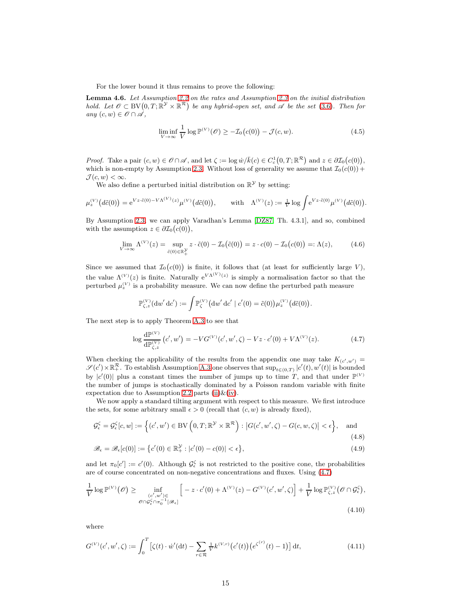For the lower bound it thus remains to prove the following:

Lemma 4.6. Let Assumption [2.2](#page-3-0) on the rates and Assumption [2.3](#page-4-0) on the initial distribution hold. Let  $\mathscr{O} \subset BV(0,T;\mathbb{R}^{\mathcal{Y}} \times \mathbb{R}^{\mathcal{R}})$  be any hybrid-open set, and  $\mathscr{A}$  be the set [\(3.6\)](#page-8-7). Then for any  $(c, w) \in \mathscr{O} \cap \mathscr{A}$ ,

<span id="page-14-0"></span>
$$
\liminf_{V \to \infty} \frac{1}{V} \log \mathbb{P}^{(V)}(\mathcal{O}) \ge -\mathcal{I}_0(c(0)) - \mathcal{J}(c, w). \tag{4.5}
$$

*Proof.* Take a pair  $(c, w) \in \mathcal{O} \cap \mathcal{A}$ , and let  $\zeta := \log w / \overline{k}(c) \in C_c^1(0, T; \mathbb{R}^{\mathcal{R}})$  and  $z \in \partial \mathcal{I}_0(c(0)),$ which is non-empty by Assumption [2.3.](#page-4-0) Without loss of generality we assume that  $\mathcal{I}_0(c(0))$  +  $\mathcal{J}(c, w) < \infty$ .

We also define a perturbed initial distribution on  $\mathbb{R}^{\mathcal{Y}}$  by setting:

$$
\mu_z^{(V)}\big(d\tilde{c}(0)\big) = e^{Vz \cdot \tilde{c}(0) - V\Lambda^{(V)}(z)} \mu^{(V)}\big(d\tilde{c}(0)\big), \quad \text{with} \quad \Lambda^{(V)}(z) := \frac{1}{V} \log \int e^{Vz \cdot \tilde{c}(0)} \mu^{(V)}\big(d\tilde{c}(0)\big).
$$

By Assumption [2.3,](#page-4-0) we can apply Varadhan's Lemma [\[DZ87,](#page-19-14) Th. 4.3.1], and so, combined with the assumption  $z \in \partial \mathcal{I}_0(c(0)),$ 

<span id="page-14-2"></span>
$$
\lim_{V \to \infty} \Lambda^{(V)}(z) = \sup_{\tilde{c}(0) \in \mathbb{R}_+^{\mathcal{Y}}} z \cdot \tilde{c}(0) - \mathcal{I}_0(\tilde{c}(0)) = z \cdot c(0) - \mathcal{I}_0(c(0)) =: \Lambda(z), \tag{4.6}
$$

Since we assumed that  $\mathcal{I}_0(c(0))$  is finite, it follows that (at least for sufficiently large V), the value  $\Lambda^{(V)}(z)$  is finite. Naturally  $e^{V\Lambda^{(V)}(z)}$  is simply a normalisation factor so that the perturbed  $\mu_z^{(V)}$  is a probability measure. We can now define the perturbed path measure

$$
\mathbb{P}^{(V)}_{\zeta,z}(\mathrm{d} w'\,\mathrm{d} c'):=\int \mathbb{P}^{(V)}_{\zeta}\big(\mathrm{d} w'\,\mathrm{d} c'\mid c'(0)=\tilde{c}(0)\big)\mu^{(V)}_z\big(d\tilde{c}(0)\big).
$$

The next step is to apply Theorem [A.3](#page-18-0) to see that

<span id="page-14-4"></span><span id="page-14-1"></span>
$$
\log \frac{d\mathbb{P}^{(V)}}{d\mathbb{P}^{(V)}_{\zeta,z}}(c',w') = -VG^{(V)}(c',w',\zeta) - Vz \cdot c'(0) + V\Lambda^{(V)}(z). \tag{4.7}
$$

When checking the applicability of the results from the appendix one may take  $K_{(c',w')}$  $\mathscr{S}(c')\times\mathbb{R}^{\mathcal{R}}_+$ . To establish Assumption [A.3](#page-17-0) one observes that  $\sup_{t\in(0,T)}|c'(t),w'(t)|$  is bounded by  $|c'(0)|$  plus a constant times the number of jumps up to time T, and that under  $\mathbb{P}^{(V)}$ the number of jumps is stochastically dominated by a Poisson random variable with finite expectation due to Assumption [2.2](#page-3-0) parts [\(ii\)](#page-3-5) $\&$ [\(iv\)](#page-3-3).

We now apply a standard tilting argument with respect to this measure. We first introduce the sets, for some arbitrary small  $\epsilon > 0$  (recall that  $(c, w)$  is already fixed),

$$
\mathcal{G}_{\epsilon}^{\zeta} = \mathcal{G}_{\epsilon}^{\zeta}[c, w] := \left\{ (c', w') \in BV\left(0, T; \mathbb{R}^{\mathcal{Y}} \times \mathbb{R}^{\mathcal{R}}\right) : \left|G(c', w', \zeta) - G(c, w, \zeta)\right| < \epsilon \right\}, \quad \text{and} \tag{4.8}
$$

<span id="page-14-3"></span>
$$
\mathcal{B}_{\epsilon} = \mathcal{B}_{\epsilon}[c(0)] := \left\{ c'(0) \in \mathbb{R}_+^{\mathcal{Y}} : |c'(0) - c(0)| < \epsilon \right\},\tag{4.9}
$$

and let  $\pi_0[c'] := c'(0)$ . Although  $\mathcal{G}_{\epsilon}^{\zeta}$  is not restricted to the positive cone, the probabilities are of course concentrated on non-negative concentrations and fluxes. Using [\(4.7\)](#page-14-1)

$$
\frac{1}{V} \log \mathbb{P}^{(V)}(\mathcal{O}) \ge \inf_{\substack{(c',w') \in \\ \mathcal{O} \cap \mathcal{G}^{\zeta}_{\epsilon} \cap \pi_{0}^{-1}[\mathcal{B}_{\epsilon}]} } \left[ -z \cdot c'(0) + \Lambda^{(V)}(z) - G^{(V)}(c',w',\zeta) \right] + \frac{1}{V} \log \mathbb{P}^{(V)}_{\zeta,z}(\mathcal{O} \cap \mathcal{G}^{\zeta}_{\epsilon}),
$$
\n(4.10)

where

$$
G^{(V)}(c', w', \zeta) := \int_0^T \left[ \zeta(t) \cdot \dot{w}'(\mathrm{d}t) - \sum_{r \in \mathcal{R}} \frac{1}{V} k^{(V,r)} \left( c'(t) \right) \left( e^{\zeta^{(r)}}(t) - 1 \right) \right] \mathrm{d}t,\tag{4.11}
$$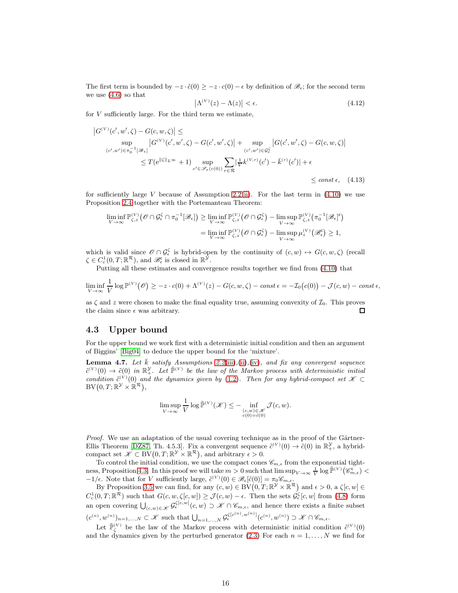The first term is bounded by  $-z \cdot \tilde{c}(0) \geq -z \cdot c(0) - \epsilon$  by definition of  $\mathscr{B}_{\epsilon}$ ; for the second term we use  $(4.6)$  so that

<span id="page-15-2"></span>
$$
\left|\Lambda^{(V)}(z) - \Lambda(z)\right| < \epsilon. \tag{4.12}
$$

for  $V$  sufficiently large. For the third term we estimate,

$$
\begin{split} \left| G^{(V)}(c', w', \zeta) - G(c, w, \zeta) \right| &\leq \\ \sup_{(c', w') \in \pi_0^{-1}[\mathscr{B}_{\epsilon}]} \left| G^{(V)}(c', w', \zeta) - G(c', w', \zeta) \right| + \sup_{(c', w') \in \mathcal{G}_{\epsilon}^{\zeta}} \left| G(c', w', \zeta) - G(c, w, \zeta) \right| \\ &\leq T(e^{\|\zeta\|_{L^{\infty}}} + 1) \sup_{c' \in \mathscr{S}_{\epsilon}(c(0))} \sum_{r \in \mathcal{R}} \left| \frac{1}{V} k^{(V, r)}(c') - \bar{k}^{(r)}(c') \right| + \epsilon \\ &\leq const \epsilon, \quad (4.13) \end{split}
$$

for sufficiently large V because of Assumption [2.2\(](#page-3-0)[ii\)](#page-3-5). For the last term in  $(4.10)$  we use Proposition [2.4](#page-5-2) together with the Portemanteau Theorem:

$$
\liminf_{V \to \infty} \mathbb{P}^{(V)}_{\zeta,z}(\mathscr{O} \cap \mathcal{G}^{\zeta}_{\epsilon} \cap \pi_0^{-1}[\mathscr{B}_{\epsilon}]) \geq \liminf_{V \to \infty} \mathbb{P}^{(V)}_{\zeta,z}(\mathscr{O} \cap \mathcal{G}^{\zeta}_{\epsilon}) - \limsup_{V \to \infty} \mathbb{P}^{(V)}_{\zeta,z}(\pi_0^{-1}[\mathscr{B}_{\epsilon}]^{\epsilon})
$$
\n
$$
= \liminf_{V \to \infty} \mathbb{P}^{(V)}_{\zeta,z}(\mathscr{O} \cap \mathcal{G}^{\zeta}_{\epsilon}) - \limsup_{V \to \infty} \mu_z^{(V)}(\mathscr{B}^{\epsilon}_{\epsilon}) \geq 1,
$$

which is valid since  $\mathscr{O} \cap \mathcal{G}_{\epsilon}^{\zeta}$  is hybrid-open by the continuity of  $(c, w) \mapsto G(c, w, \zeta)$  (recall  $\zeta \in C_c^1(0,T;\mathbb{R}^{\mathcal{R}})$ , and  $\mathscr{B}_{\epsilon}^{\mathsf{c}}$  is closed in  $\mathbb{R}^{\mathcal{Y}}$ .

Putting all these estimates and convergence results together we find from [\(4.10\)](#page-14-3) that

$$
\liminf_{V \to \infty} \frac{1}{V} \log \mathbb{P}^{(V)}(\mathcal{O}) \geq -z \cdot c(0) + \Lambda^{(V)}(z) - G(c, w, \zeta) - const \epsilon = -\mathcal{I}_0(c(0)) - \mathcal{J}(c, w) - const \epsilon,
$$

as  $\zeta$  and z were chosen to make the final equality true, assuming convexity of  $\mathcal{I}_0$ . This proves the claim since  $\epsilon$  was arbitrary. the claim since  $\epsilon$  was arbitrary.

#### <span id="page-15-1"></span>4.3 Upper bound

For the upper bound we work first with a deterministic initial condition and then an argument of Biggins' [\[Big04\]](#page-19-12) to deduce the upper bound for the 'mixture'.

<span id="page-15-0"></span>**Lemma 4.7.** Let  $\bar{k}$  satisfy Assumptions [2.2](#page-3-0)[\(iii\)](#page-3-6),[\(ii\)](#page-3-5),[\(iv\)](#page-3-3), and fix any convergent sequence  $\tilde{c}^{(V)}(0) \to \tilde{c}(0)$  in  $\mathbb{R}^{\mathcal{Y}}_+$ . Let  $\tilde{\mathbb{P}}^{(V)}$  be the law of the Markov process with deterministic initial condition  $\tilde{c}^{(V)}(0)$  and the dynamics given by [\(1.2\)](#page-1-1). Then for any hybrid-compact set  $\mathcal{K} \subset$  $\mathrm{BV}\bigl(0,T;\mathbb{R}^\mathcal{Y}\times\mathbb{R}^\mathcal{R}\bigr),$ 

$$
\limsup_{V \to \infty} \frac{1}{V} \log \tilde{\mathbb{P}}^{(V)}(\mathcal{K}) \leq - \inf_{\substack{(c,w) \in \mathcal{K} \\ c(0) = \tilde{c}(0)}} \mathcal{J}(c, w).
$$

Proof. We use an adaptation of the usual covering technique as in the proof of the Gärtner-Ellis Theorem [\[DZ87,](#page-19-14) Th. 4.5.3]. Fix a convergent sequence  $\tilde{c}^{(V)}(0) \to \tilde{c}(0)$  in  $\mathbb{R}^{\mathcal{Y}}_{+}$ , a hybridcompact set  $\mathscr{K} \subset BV(0,T;\mathbb{R}^{\mathcal{Y}} \times \mathbb{R}^{\mathcal{R}})$ , and arbitrary  $\epsilon > 0$ .

To control the initial condition, we use the compact cones  $\mathscr{C}_{m,\epsilon}$  from the exponential tight-ness, Proposition [4.3.](#page-13-2) In this proof we will take  $m > 0$  such that  $\limsup_{V \to \infty} \frac{1}{V} \log \tilde{\mathbb{P}}^{(V)}(\mathscr{C}_{m,\epsilon}^{\mathsf{c}})$  $-1/\epsilon$ . Note that for V sufficiently large,  $\tilde{c}^{(V)}(0) \in \mathscr{B}_{\epsilon}[\tilde{c}(0)] = \pi_0 \mathscr{C}_{m,\epsilon}$ 

By Proposition [3.5](#page-6-2) we can find, for any  $(c, w) \in BV(0, T; \mathbb{R}^{\mathcal{Y}} \times \mathbb{R}^{\mathcal{R}})$  and  $\epsilon > 0$ , a  $\zeta[c, w] \in$  $C_c^1(0,T;\mathbb{R}^{\mathcal{R}})$  such that  $G(c,w,\zeta[c,w]) \geq \mathcal{J}(c,w) - \epsilon$ . Then the sets  $\mathcal{G}_{\epsilon}^{\zeta}[c,w]$  from [\(4.8\)](#page-14-4) form an open covering  $\bigcup_{(c,w)\in\mathscr{K}}\mathcal{G}_{\epsilon}^{\zeta[c,w]}(c,w)\supset\mathscr{K}\cap\mathscr{C}_{m,\epsilon}$ , and hence there exists a finite subset  $(c^{(n)}, w^{(n)})_{n=1,\ldots,N} \subset \mathscr{K}$  such that  $\bigcup_{n=1,\ldots,N} \mathcal{G}_{\epsilon}^{\zeta[c^{(n)}, w^{(n)}]}(c^{(n)}, w^{(n)}) \supset \mathscr{K} \cap \mathscr{C}_{m,\epsilon}$ .

Let  $\tilde{\mathbb{P}}_{\zeta}^{(V)}$  be the law of the Markov process with deterministic initial condition  $\tilde{c}^{(V)}(0)$ and the dynamics given by the perturbed generator [\(2.3\)](#page-4-1) For each  $n = 1, \ldots, N$  we find for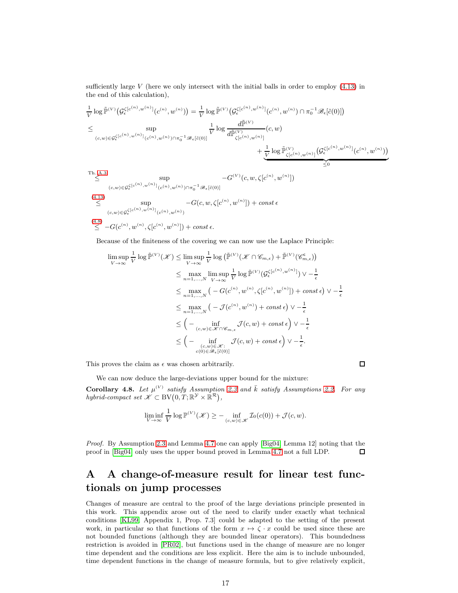sufficiently large  $V$  (here we only intersect with the initial balls in order to employ  $(4.13)$  in the end of this calculation),

$$
\frac{1}{V} \log \tilde{\mathbb{P}}^{(V)} \left( \mathcal{G}_{\epsilon}^{\zeta[c^{(n)},w^{(n)}]}(c^{(n)},w^{(n)}) \right) = \frac{1}{V} \log \tilde{\mathbb{P}}^{(V)} \left( \mathcal{G}_{\epsilon}^{\zeta[c^{(n)},w^{(n)}]}(c^{(n)},w^{(n)}) \cap \pi_{0}^{-1} \mathcal{B}_{\epsilon}[\tilde{c}(0)] \right)
$$
\n
$$
\leq \sup_{(c,w) \in \mathcal{G}_{\epsilon}^{\zeta[c^{(n)},w^{(n)}]}(c^{(n)},w^{(n)}) \cap \pi_{0}^{-1} \mathcal{B}_{\epsilon}[\tilde{c}(0)]} \frac{d\tilde{\mathbb{P}}^{(V)}}{d\tilde{\mathbb{P}}^{(V)}(c^{(n)},w^{(n)})} (c,w) + \frac{1}{V} \log \tilde{\mathbb{P}}^{(V)}_{\zeta[c^{(n)},w^{(n)}]} \left( \mathcal{G}_{\epsilon}^{\zeta[c^{(n)},w^{(n)}]}(c^{(n)},w^{(n)}) \right)
$$
\n
$$
+ \frac{1}{V} \log \tilde{\mathbb{P}}^{(V)}_{\zeta[c^{(n)},w^{(n)}]} \left( \mathcal{G}_{\epsilon}^{\zeta[c^{(n)},w^{(n)}]}(c^{(n)},w^{(n)}) \right)
$$
\n
$$
\leq 0
$$
\n
$$
\leq \sup_{(c,w) \in \mathcal{G}_{\epsilon}^{\zeta[c^{(n)},w^{(n)}]}(c^{(n)},w^{(n)}) \cap \pi_{0}^{-1} \mathcal{B}_{\epsilon}[\tilde{c}(0)]} - G^{(V)}(c,w,\zeta[c^{(n)},w^{(n)}])
$$

(4.13)  
\n
$$
\leq \sup_{(c,w)\in\mathcal{G}_{\epsilon}^{\zeta[c^{(n)},w^{(n)}]}(c^{(n)},w^{(n)})} - G(c,w,\zeta[c^{(n)},w^{(n)}]) + const \epsilon
$$
\n
$$
\leq -G(c^{(n)},w^{(n)},\zeta[c^{(n)},w^{(n)}]) + const \epsilon.
$$

Because of the finiteness of the covering we can now use the Laplace Principle:

$$
\limsup_{V \to \infty} \frac{1}{V} \log \tilde{\mathbb{P}}^{(V)}(\mathscr{K}) \leq \limsup_{V \to \infty} \frac{1}{V} \log \left( \tilde{\mathbb{P}}^{(V)}(\mathscr{K} \cap \mathscr{C}_{m,\epsilon}) + \tilde{\mathbb{P}}^{(V)}(\mathscr{C}_{m,\epsilon}^{\epsilon}) \right)
$$
\n
$$
\leq \max_{n=1,...,N} \limsup_{V \to \infty} \frac{1}{V} \log \tilde{\mathbb{P}}^{(V)}(\mathcal{G}_{\epsilon}^{\zeta[c^{(n)},w^{(n)}])} \vee -\frac{1}{\epsilon}
$$
\n
$$
\leq \max_{n=1,...,N} \left( -G(c^{(n)}, w^{(n)}, \zeta[c^{(n)}, w^{(n)}]) + const \epsilon \right) \vee -\frac{1}{\epsilon}
$$
\n
$$
\leq \max_{n=1,...,N} \left( -\mathcal{J}(c^{(n)}, w^{(n)}) + const \epsilon \right) \vee -\frac{1}{\epsilon}
$$
\n
$$
\leq \left( -\inf_{(c,w) \in \mathscr{K} \cap \mathscr{C}_{m,\epsilon}} \mathcal{J}(c, w) + const \epsilon \right) \vee -\frac{1}{\epsilon}
$$
\n
$$
\leq \left( -\inf_{(c,w) \in \mathscr{K} \cap \mathscr{C}_{m,\epsilon}} \mathcal{J}(c, w) + const \epsilon \right) \vee -\frac{1}{\epsilon}.
$$

This proves the claim as  $\epsilon$  was chosen arbitrarily.

 $\Box$ 

We can now deduce the large-deviations upper bound for the mixture:

Corollary 4.8. Let  $\mu^{(V)}$  satisfy Assumption [2.3](#page-4-0) and  $\bar{k}$  satisfy Assumptions [2.2.](#page-3-0) For any hybrid-compact set  $\mathscr{K} \subset BV(0,T;\mathbb{R}^{\mathcal{Y}} \times \mathbb{R}^{\mathcal{R}})$ ,

$$
\liminf_{V \to \infty} \frac{1}{V} \log \mathbb{P}^{(V)}(\mathcal{K}) \geq - \inf_{(c,w) \in \mathcal{K}} \mathcal{I}_0(c(0)) + \mathcal{J}(c,w).
$$

Proof. By Assumption [2.3](#page-4-0) and Lemma [4.7](#page-15-0) one can apply [\[Big04,](#page-19-12) Lemma 12] noting that the proof in [\[Big04\]](#page-19-12) only uses the upper bound proved in Lemma [4.7](#page-15-0) not a full LDP.  $\Box$ 

# A A change-of-measure result for linear test functionals on jump processes

Changes of measure are central to the proof of the large deviations principle presented in this work. This appendix arose out of the need to clarify under exactly what technical conditions [\[KL99,](#page-20-17) Appendix 1, Prop. 7.3] could be adapted to the setting of the present work, in particular so that functions of the form  $x \mapsto \zeta \cdot x$  could be used since these are not bounded functions (although they are bounded linear operators). This boundedness restriction is avoided in [\[PR02\]](#page-20-18), but functions used in the change of measure are no longer time dependent and the conditions are less explicit. Here the aim is to include unbounded, time dependent functions in the change of measure formula, but to give relatively explicit,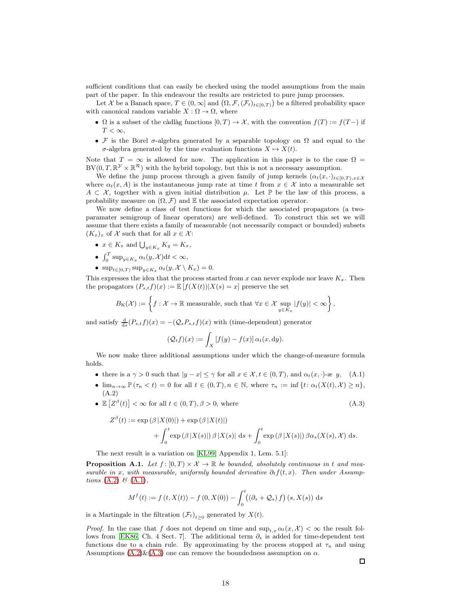sufficient conditions that can easily be checked using the model assumptions from the main part of the paper. In this endeavour the results are restricted to pure jump processes.

Let X be a Banach space,  $T \in (0, \infty]$  and  $(\Omega, \mathcal{F}, (\mathcal{F}_t)_{t \in [0, T)})$  be a filtered probability space with canonical random variable  $X : \Omega \to \Omega$ , where

- $\Omega$  is a subset of the càdlàg functions  $[0, T] \to \mathcal{X}$ , with the convention  $f(T) := f(T)$  if  $T < \infty$ ,
- F is the Borel  $\sigma$ -algebra generated by a separable topology on  $\Omega$  and equal to the σ-algebra generated by the time evaluation functions  $X \mapsto X(t)$ .

Note that  $T = \infty$  is allowed for now. The application in this paper is to the case  $\Omega =$  $BV(0, T, \mathbb{R}^{\mathcal{Y}} \times \mathbb{R}^{\mathcal{R}})$  with the hybrid topology, but this is not a necessary assumption.

We define the jump process through a given family of jump kernels  $(\alpha_t(x, \cdot)_{t\in[0,T),x\in\mathcal{X}})$ where  $\alpha_t(x, A)$  is the instantaneous jump rate at time t from  $x \in \mathcal{X}$  into a measurable set  $A \subset \mathcal{X}$ , together with a given initial distribution  $\mu$ . Let  $\mathbb{P}$  be the law of this process, a probability measure on  $(\Omega, \mathcal{F})$  and  $\mathbb E$  the associated expectation operator.

We now define a class of test functions for which the associated propagators (a twoparamater semigroup of linear operators) are well-defined. To construct this set we will assume that there exists a family of measurable (not necessarily compact or bounded) subsets  $(K_x)_x$  of X such that for all  $x \in \mathcal{X}$ :

- $x \in K_x$  and  $\bigcup_{y \in K_x} K_y = K_x$ ,
- $\int_0^T \sup_{y \in K_x} \alpha_t(y, \mathcal{X}) dt < \infty$ ,
- $\sup_{t \in [0,T)} \sup_{y \in K_x} \alpha_t(y, \mathcal{X} \setminus K_x) = 0.$

This expresses the idea that the process started from x can never explode nor leave  $K_x$ . Then the propagators  $(P_{s,t}f)(x) := \mathbb{E}[f(X(t))|X(s) = x]$  preserve the set

$$
B_{\mathrm{K}}(\mathcal{X}):=\left\{f:\mathcal{X}\rightarrow\mathbb{R} \text{ measurable, such that } \forall x\in\mathcal{X}\sup_{y\in K_{x}}|f(y)|<\infty\right\},\
$$

and satisfy  $\frac{d}{ds}(P_{s,t}f)(x) = -(\mathcal{Q}_s P_{s,t}f)(x)$  with (time-dependent) generator

<span id="page-17-2"></span><span id="page-17-0"></span>
$$
(\mathcal{Q}_t f)(x) := \int_X [f(y) - f(x)] \alpha_t(x, dy).
$$

We now make three additional assumptions under which the change-of-measure formula holds.

- there is a  $\gamma > 0$  such that  $|y x| \leq \gamma$  for all  $x \in \mathcal{X}, t \in (0, T)$ , and  $\alpha_t(x, \cdot)$ -æ y, (A.1)
- <span id="page-17-1"></span>•  $\lim_{n\to\infty} \mathbb{P}(\tau_n < t) = 0$  for all  $t \in (0,T), n \in \mathbb{N}$ , where  $\tau_n := \inf \{t : \alpha_t(X(t), \mathcal{X}) \geq n\},$ (A.2)
- $\mathbb{E}\left[Z^{\beta}(t)\right] < \infty$  for all  $t \in (0, T), \beta > 0$ , where (A.3)

$$
Z^{\beta}(t) := \exp(\beta |X(0)|) + \exp(\beta |X(t)|)
$$
  
+ 
$$
\int_0^t \exp(\beta |X(s)|) \beta |X(s)| ds + \int_0^t \exp(\beta |X(s)|) \beta \alpha_s(X(s), \mathcal{X}) ds.
$$

The next result is a variation on [\[KL99,](#page-20-17) Appendix 1, Lem. 5.1]:

<span id="page-17-3"></span>**Proposition A.1.** Let  $f : [0, T) \times \mathcal{X} \to \mathbb{R}$  be bounded, absolutely continuous in t and measurable in x, with measurable, uniformly bounded derivative  $\partial_t f(t, x)$ . Then under Assumptions  $(A.2) \& (A.1)$  $(A.2) \& (A.1)$  $(A.2) \& (A.1)$ ,

$$
M^{f}(t) := f(t, X(t)) - f(0, X(0)) - \int_{0}^{t} ((\partial_{s} + \mathcal{Q}_{s}) f)(s, X(s)) ds
$$

is a Martingale in the filtration  $(\mathcal{F}_t)_{t\geq 0}$  generated by  $X(t)$ .

*Proof.* In the case that f does not depend on time and  $\sup_{t,x} \alpha_t(x, \mathcal{X}) < \infty$  the result fol-lows from [\[EK86,](#page-19-17) Ch. 4 Sect. 7]. The additional term  $\partial_s$  is added for time-dependent test functions due to a chain rule. By approximating by the process stopped at  $\tau_n$  and using Assumptions  $(A.2)$ & $(A.3)$  one can remove the boundedness assumption on  $\alpha$ .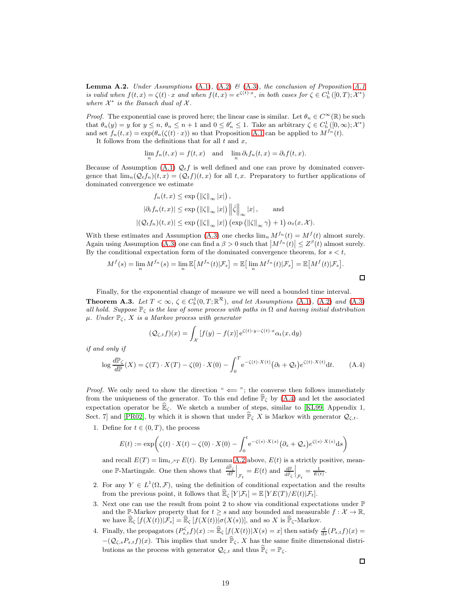<span id="page-18-1"></span>**Lemma A.2.** Under Assumptions [\(A.1\)](#page-17-2), [\(A.2\)](#page-17-1)  $\mathcal{B}$  [\(A.3\)](#page-17-0), the conclusion of Proposition [A.1](#page-17-3) is valid when  $f(t,x) = \zeta(t) \cdot x$  and when  $f(t,x) = e^{\zeta(t)\cdot x}$ , in both cases for  $\zeta \in C_{\mathrm{b}}^{1}([0,T); \mathcal{X}^{*})$ where  $\mathcal{X}^*$  is the Banach dual of  $\mathcal{X}$ .

*Proof.* The exponential case is proved here; the linear case is similar. Let  $\theta_n \in C^{\infty}(\mathbb{R})$  be such that  $\theta_n(y) = y$  for  $y \le n$ ,  $\theta_n \le n + 1$  and  $0 \le \theta'_n \le 1$ . Take an arbitrary  $\zeta \in C_b^1([0, \infty); \mathcal{X}^*)$ and set  $f_n(t, x) = \exp(\theta_n(\zeta(t) \cdot x))$  so that Proposition [A.1](#page-17-3) can be applied to  $M^{f_n}(t)$ .

It follows from the definitions that for all  $t$  and  $x$ ,

 $\lim_{n} f_n(t,x) = f(t,x)$  and  $\lim_{n} \partial_t f_n(t,x) = \partial_t f(t,x)$ .

Because of Assumption [\(A.1\)](#page-17-2)  $\mathcal{Q}_t f$  is well defined and one can prove by dominated convergence that  $\lim_{n} (Q_t f_n)(t, x) = (Q_t f)(t, x)$  for all t, x. Preparatory to further applications of dominated convergence we estimate

$$
f_n(t, x) \le \exp\left(\left\|\zeta\right\|_{\infty} |x|\right),
$$
  

$$
|\partial_t f_n(t, x)| \le \exp\left(\left\|\zeta\right\|_{\infty} |x|\right) \left\|\dot{\zeta}\right\|_{\infty} |x|, \text{ and}
$$
  

$$
|(\mathcal{Q}_t f_n)(t, x)| \le \exp\left(\left\|\zeta\right\|_{\infty} |x|\right) \left(\exp\left(\left\|\zeta\right\|_{\infty} \gamma\right) + 1\right) \alpha_t(x, \mathcal{X}).
$$

With these estimates and Assumption [\(A.3\)](#page-17-0) one checks  $\lim_n M^{f_n}(t) = M^f(t)$  almost surely. Again using Assumption [\(A.3\)](#page-17-0) one can find a  $\beta > 0$  such that  $|M^{f_n}(t)| \leq Z^{\beta}(t)$  almost surely. By the conditional expectation form of the dominated convergence theorem, for  $s < t$ ,

$$
M^f(s) = \lim_n M^{f_n}(s) = \lim_n \mathbb{E}[M^{f_n}(t)|\mathcal{F}_s] = \mathbb{E}[\lim_n M^{f_n}(t)|\mathcal{F}_s] = \mathbb{E}[M^f(t)|\mathcal{F}_s].
$$

Finally, for the exponential change of measure we will need a bounded time interval. **Theorem A.3.** Let  $T < \infty$ ,  $\zeta \in C_b^1(0,T;\mathbb{R}^{\mathcal{R}})$ , and let Assumptions [\(A.1\)](#page-17-2), [\(A.2\)](#page-17-1) and [\(A.3\)](#page-17-0) all hold. Suppose  $\mathbb{P}_{\zeta}$  is the law of some process with paths in  $\Omega$  and having initial distribution  $\mu$ . Under  $\mathbb{P}_{\zeta}$ , X is a Markov process with generator

$$
(\mathcal{Q}_{\zeta,t}f)(x) = \int_{\mathcal{X}} [f(y) - f(x)] e^{\zeta(t) \cdot y - \zeta(t) \cdot x} \alpha_t(x, dy)
$$

if and only if

<span id="page-18-0"></span>
$$
\log \frac{d\mathbb{P}_{\zeta}}{d\mathbb{P}}(X) = \zeta(T) \cdot X(T) - \zeta(0) \cdot X(0) - \int_0^T e^{-\zeta(t) \cdot X(t)} \left(\partial_t + \mathcal{Q}_t\right) e^{\zeta(t) \cdot X(t)} \mathrm{d}t. \tag{A.4}
$$

*Proof.* We only need to show the direction " $\leftarrow$ "; the converse then follows immediately from the uniqueness of the generator. To this end define  $\hat{\mathbb{P}}_{\zeta}$  by [\(A.4\)](#page-18-0) and let the associated expectation operator be  $\widehat{\mathbb{E}}_{\zeta}$ . We sketch a number of steps, similar to [\[KL99,](#page-20-17) Appendix 1, Sect. 7] and [\[PR02\]](#page-20-18), by which it is shown that under  $\mathbb{P}_{\zeta} X$  is Markov with generator  $\mathcal{Q}_{\zeta,t}$ .

1. Define for  $t \in (0, T)$ , the process

$$
E(t) := \exp\bigg(\zeta(t) \cdot X(t) - \zeta(0) \cdot X(0) - \int_0^t e^{-\zeta(s) \cdot X(s)} (\partial_s + \mathcal{Q}_s) e^{\zeta(s) \cdot X(s)} ds\bigg)
$$

and recall  $E(T) = \lim_{t \nearrow T} E(t)$ . By Lemma [A.2](#page-18-1) above,  $E(t)$  is a strictly positive, meanone P-Martingale. One then shows that  $\frac{d\hat{P}_{\zeta}}{dP}\Big|_{\mathcal{F}_t} = E(t)$  and  $\frac{dP}{d\hat{P}_{\zeta}}$  $\Big|_{\mathcal{F}_t} = \tfrac{1}{E(t)}.$ 

- 2. For any  $Y \in L^1(\Omega, \mathcal{F})$ , using the definition of conditional expectation and the results from the previous point, it follows that  $\mathbb{E}_{\zeta} [Y | \mathcal{F}_t] = \mathbb{E} [Y E(T) / E(t) | \mathcal{F}_t].$
- 3. Next one can use the result from point 2 to show via conditional expectations under  $\mathbb P$ and the P-Markov property that for  $t > s$  and any bounded and measurable  $f: \mathcal{X} \to \mathbb{R}$ , we have  $\widehat{\mathbb{E}}_{\zeta}[f(X(t))|\mathcal{F}_s] = \widehat{\mathbb{E}}_{\zeta}[f(X(t))|\sigma(X(s))],$  and so X is  $\widehat{\mathbb{P}}_{\zeta}$ -Markov.
- 4. Finally, the propagators  $(P_{s,t}^{\zeta}f)(x) := \widehat{\mathbb{E}}_{\zeta} [f(X(t))|X(s) = x]$  then satisfy  $\frac{d}{ds}(P_{s,t}f)(x) =$  $-(\mathcal{Q}_{\zeta,s}P_{s,t}f)(x)$ . This implies that under  $\widehat{\mathbb{P}}_{\zeta}$ , X has the same finite dimensional distributions as the process with generator  $\mathcal{Q}_{\zeta,t}$  and thus  $\widehat{\mathbb{P}}_{\zeta} = \mathbb{P}_{\zeta}$ .

 $\Box$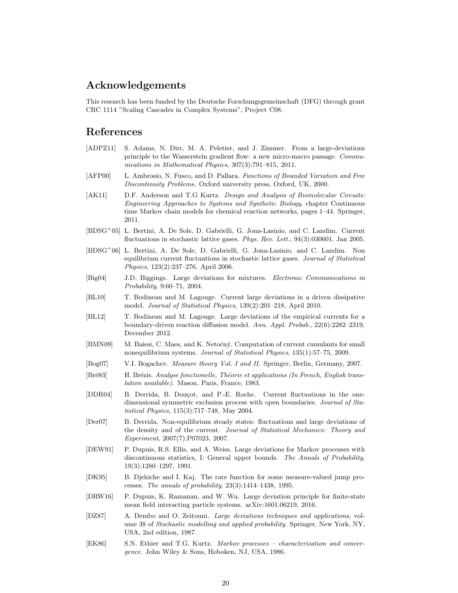## Acknowledgements

This research has been funded by the Deutsche Forschungsgemeinschaft (DFG) through grant CRC 1114 "Scaling Cascades in Complex Systems", Project C08.

### References

- <span id="page-19-0"></span>[ADPZ11] S. Adams, N. Dirr, M. A. Peletier, and J. Zimmer. From a large-deviations principle to the Wasserstein gradient flow: a new micro-macro passage. Communications in Mathematical Physics, 307(3):791–815, 2011.
- <span id="page-19-13"></span>[AFP00] L. Ambrosio, N. Fusco, and D. Pallara. Functions of Bounded Variation and Free Discontinuity Problems. Oxford university press, Oxford, UK, 2000.
- <span id="page-19-8"></span>[AK11] D.F. Anderson and T.G Kurtz. Design and Analysis of Biomolecular Circuits: Engineering Approaches to Systems and Synthetic Biology, chapter Continuous time Markov chain models for chemical reaction networks, pages 1–44. Springer, 2011.
- <span id="page-19-5"></span>[BDSG<sup>+</sup>05] L. Bertini, A. De Sole, D. Gabrielli, G. Jona-Lasinio, and C. Landim. Current fluctuations in stochastic lattice gases. Phys. Rev. Lett., 94(3):030601, Jan 2005.
- <span id="page-19-6"></span>[BDSG<sup>+</sup>06] L. Bertini, A. De Sole, D. Gabrielli, G. Jona-Lasinio, and C. Landim. Non equilibrium current fluctuations in stochastic lattice gases. Journal of Statistical Physics, 123(2):237–276, April 2006.
- <span id="page-19-12"></span>[Big04] J.D. Biggings. Large deviations for mixtures. Electronic Communications in Probability, 9:60–71, 2004.
- <span id="page-19-2"></span>[BL10] T. Bodineau and M. Lagouge. Current large deviations in a driven dissipative model. Journal of Statistical Physics, 139(2):201–218, April 2010.
- <span id="page-19-3"></span>[BL12] T. Bodineau and M. Lagouge. Large deviations of the empirical currents for a boundary-driven reaction diffusion model. Ann. Appl. Probab., 22(6):2282–2319, December 2012.
- <span id="page-19-7"></span>[BMN09] M. Baiesi, C. Maes, and K. Netočný. Computation of current cumulants for small nonequilibrium systems. Journal of Statistical Physics, 135(1):57–75, 2009.
- <span id="page-19-15"></span>[Bog07] V.I. Bogachev. Measure theory Vol. I and II. Springer, Berlin, Germany, 2007.
- <span id="page-19-16"></span>[Bré83] H. Brézis. Analyse fonctionelle, Théorie et applications (In French, English translation available). Mason, Paris, France, 1983.
- <span id="page-19-1"></span>[DDR04] B. Derrida, B. Douçot, and P.-E. Roche. Current fluctuations in the onedimensional symmetric exclusion process with open boundaries. Journal of Statistical Physics, 115(3):717–748, May 2004.
- <span id="page-19-4"></span>[Der07] B. Derrida. Non-equilibrium steady states: fluctuations and large deviations of the density and of the current. Journal of Statistical Mechanics: Theory and Experiment, 2007(7):P07023, 2007.
- <span id="page-19-10"></span>[DEW91] P. Dupuis, R.S. Ellis, and A. Weiss. Large deviations for Markov processes with discontinuous statistics, I: General upper bounds. The Annals of Probability, 19(3):1280–1297, 1991.
- <span id="page-19-9"></span>[DK95] B. Djehiche and I. Kaj. The rate function for some measure-valued jump processes. The annals of probability, 23(3):1414–1438, 1995.
- <span id="page-19-11"></span>[DRW16] P. Dupuis, K. Ramanan, and W. Wu. Large deviation principle for finite-state mean field interacting particle systems. arXiv:1601.06219, 2016.
- <span id="page-19-14"></span>[DZ87] A. Dembo and O. Zeitouni. Large deviations techniques and applications, volume 38 of Stochastic modelling and applied probability. Springer, New York, NY, USA, 2nd edition, 1987.
- <span id="page-19-17"></span>[EK86] S.N. Ethier and T.G. Kurtz. Markov processes – characterization and convergence. John Wiley & Sons, Hoboken, NJ, USA, 1986.